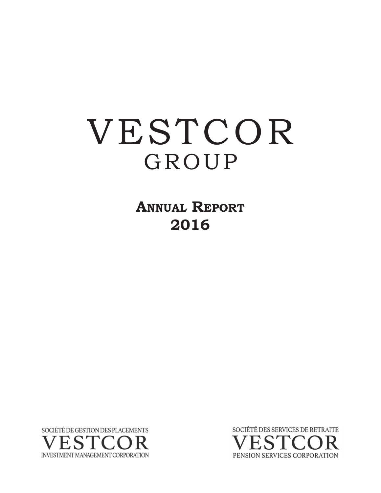# VESTCOR GROUP

**ANNUAL REPORT 2016**



SOCIÉTÉ DES SERVICES DE RETRAITE ESTCC PENSION SERVICES CORPORATION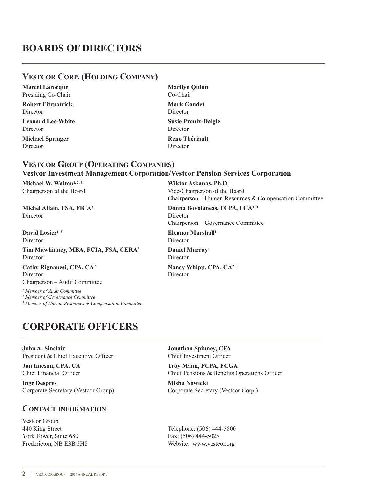# **Boards of directors**

# **Vestcor corp. (Holding company)**

Presiding Co-Chair Co-chair

**robert fitzpatrick**, **mark gaudet** Director Director

Director Director

**michael Springer reno reno reno reno reno reno reno reno reno reno reno reno reno reno reno reno reno reno reno reno reno reno reno reno reno reno reno reno reno** Director Director

**marcel larocque**, **marilyn Quinn leonard** Lee-White **Susie Proulx-Daigle** 

# **Vestcor group (operating companies)**

### **Vestcor investment management corporation/Vestcor pension services corporation**

**michael W.** Walton<sup>1, 2, 3</sup> **Wiktor Askanas, Ph.D.** 

Director Director

**d David Losier**<sup>1, 2</sup> **eleanor Marshall**<sup>1</sup> Director Director **tim mawhinney, mBa, fcia, fsa, cera3 daniel murray1**

Director Director

Director Director Chairperson – Audit Committee

*<sup>1</sup> Member of Audit Committee <sup>2</sup> Member of Governance Committee*

*<sup>3</sup> Member of Human Resources & Compensation Committee*

# **corporate officers**

**John a. sinclair Jonathan spinney, cfa** President & Chief Executive Officer Chief Investment Officer

**inge després misha nowicki** corporate secretary (vestcor group) corporate secretary (vestcor corp.)

# **contact information**

Vestcor Group 440 King Street Telephone: (506) 444-5800 York Tower, Suite 680 Fax: (506) 444-5025

chairperson of the Board vice-chairperson of the Board Chairperson – Human Resources & Compensation Committee

**michel Allain, FSA, FICA<sup>3</sup> <b>donna Donna Bovolaneas, FCPA, FCA**<sup>1,3</sup> Chairperson – Governance Committee

**cathy rignanesi, cpa, ca2 nancy Whipp, cpa, ca2, <sup>3</sup>**

**Jan Imeson, CPA, CA Troy Mann,** *FCPA***,** *FCGA* chief Financial officer chief pensions & Benefits operations officer

Fredericton, NB E3B 5H8 Website: www.vestcor.org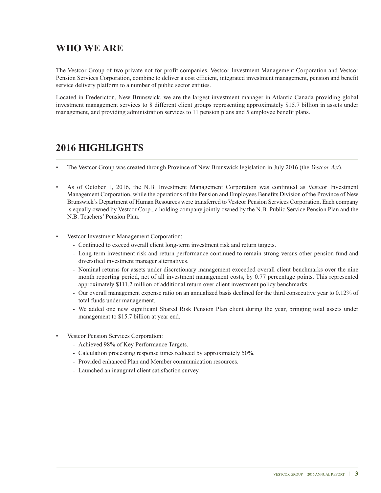# **WHo We are**

the vestcor group of two private not-for-profit companies, vestcor Investment Management corporation and vestcor pension services corporation, combine to deliver a cost efficient, integrated investment management, pension and benefit service delivery platform to a number of public sector entities.

Located in Fredericton, New Brunswick, we are the largest investment manager in Atlantic Canada providing global investment management services to 8 different client groups representing approximately \$15.7 billion in assets under management, and providing administration services to 11 pension plans and 5 employee benefit plans.

# **2016 HigHligHts**

- the vestcor group was created through province of new Brunswick legislation in July 2016 (the *Vestcor Act*).
- As of October 1, 2016, the N.B. Investment Management Corporation was continued as Vestcor Investment Management Corporation, while the operations of the Pension and Employees Benefits Division of the Province of New Brunswick's Department of Human Resources were transferred to Vestcor Pension Services Corporation. Each company is equally owned by Vestcor Corp., a holding company jointly owned by the N.B. Public Service Pension Plan and the N.B. Teachers' Pension Plan.
- Vestcor Investment Management Corporation:
	- continued to exceed overall client long-term investment risk and return targets.
	- long-term investment risk and return performance continued to remain strong versus other pension fund and diversified investment manager alternatives.
	- nominal returns for assets under discretionary management exceeded overall client benchmarks over the nine month reporting period, net of all investment management costs, by 0.77 percentage points. This represented approximately \$111.2 million of additional return over client investment policy benchmarks.
	- our overall management expense ratio on an annualized basis declined for the third consecutive year to 0.12% of total funds under management.
	- We added one new significant Shared Risk Pension Plan client during the year, bringing total assets under management to \$15.7 billion at year end.
- Vestcor Pension Services Corporation:
	- Achieved 98% of Key Performance Targets.
	- Calculation processing response times reduced by approximately 50%.
	- provided enhanced plan and Member communication resources.
	- launched an inaugural client satisfaction survey.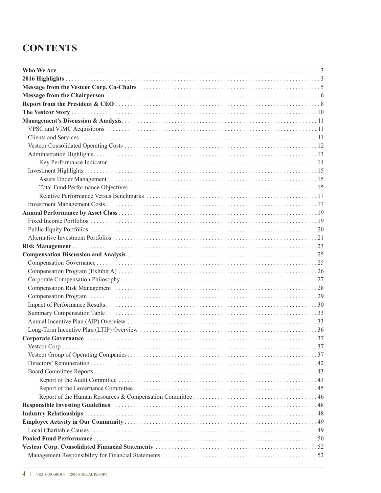# **CONTENTS**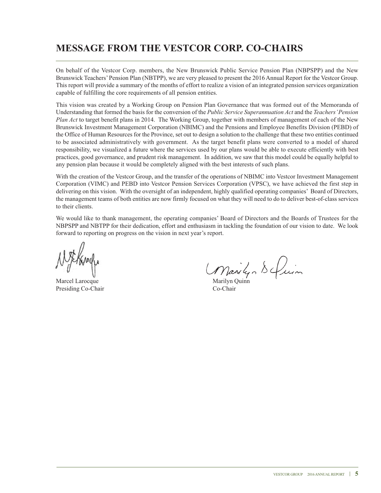# **message from tHe Vestcor corp. co-cHairs**

On behalf of the Vestcor Corp. members, the New Brunswick Public Service Pension Plan (NBPSPP) and the New Brunswick Teachers' Pension Plan (NBTPP), we are very pleased to present the 2016 Annual Report for the Vestcor Group. This report will provide a summary of the months of effort to realize a vision of an integrated pension services organization capable of fulfilling the core requirements of all pension entities.

This vision was created by a Working Group on Pension Plan Governance that was formed out of the Memoranda of understanding that formed the basis for the conversion of the *Public Service Superannuation Act* and the *Teachers'Pension Plan Act* to target benefit plans in 2014. The Working Group, together with members of management of each of the New Brunswick Investment Management corporation (nBIMc) and the pensions and employee Benefits Division (peBD) of the Office of Human Resources for the Province, set out to design a solution to the challenge that these two entities continued to be associated administratively with government. as the target benefit plans were converted to a model of shared responsibility, we visualized a future where the services used by our plans would be able to execute efficiently with best practices, good governance, and prudent risk management. In addition, we saw that this model could be equally helpful to any pension plan because it would be completely aligned with the best interests of such plans.

With the creation of the Vestcor Group, and the transfer of the operations of NBIMC into Vestcor Investment Management corporation (vIMc) and peBD into vestcor pension services corporation (vpsc), we have achieved the first step in delivering on this vision. With the oversight of an independent, highly qualified operating companies' Board of Directors, the management teams of both entities are now firmly focused on what they will need to do to deliver best-of-class services to their clients.

We would like to thank management, the operating companies' Board of Directors and the Boards of Trustees for the NBPSPP and NBTPP for their dedication, effort and enthusiasm in tackling the foundation of our vision to date. We look forward to reporting on progress on the vision in next year's report.

Presiding Co-Chair Co-chair

Merringen<br>Marilyn Defection de Marilyn Defection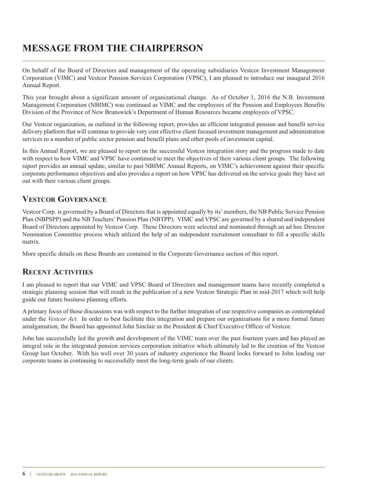# **message from tHe cHairperson**

on behalf of the Board of Directors and management of the operating subsidiaries vestcor Investment Management corporation (vIMc) and vestcor pension services corporation (vpsc), I am pleased to introduce our inaugural 2016 Annual Report.

This year brought about a significant amount of organizational change. As of October 1, 2016 the N.B. Investment Management Corporation (NBIMC) was continued as VIMC and the employees of the Pension and Employees Benefits Division of the Province of New Brunswick's Department of Human Resources became employees of VPSC.

Our Vestcor organization, as outlined in the following report, provides an efficient integrated pension and benefit service delivery platform that will continue to provide very cost effective client focused investment management and administration services to a number of public sector pension and benefit plans and other pools of investment capital.

In this Annual Report, we are pleased to report on the successful Vestcor integration story and the progress made to date with respect to how VIMC and VPSC have continued to meet the objectives of their various client groups. The following report provides an annual update, similar to past NBIMC Annual Reports, on VIMC's achievement against their specific corporate performance objectives and also provides a report on how vpsc has delivered on the service goals they have set out with their various client groups.

# **Vestcor goVernance**

vestcor corp. is governed by a Board of Directors that is appointed equally by its'members, the nB public service pension Plan (NBPSPP) and the NB Teachers' Pension Plan (NBTPP). VIMC and VPSC are governed by a shared and independent Board of Directors appointed by vestcor corp. these Directors were selected and nominated through an ad hoc Director nomination committee process which utilized the help of an independent recruitment consultant to fill a specific skills matrix.

More specific details on these Boards are contained in the corporate governance section of this report.

# **recent actiVities**

I am pleased to report that our vIMc and vpsc Board of Directors and management teams have recently completed a strategic planning session that will result in the publication of a new vestcor strategic plan in mid-2017 which will help guide our future business planning efforts.

a primary focus of those discussions was with respect to the further integration of our respective companies as contemplated under the *Vestcor Act*. In order to best facilitate this integration and prepare our organizations for a more formal future amalgamation, the Board has appointed John Sinclair as the President  $\&$  Chief Executive Officer of Vestcor.

John has successfully led the growth and development of the vIMc team over the past fourteen years and has played an integral role in the integrated pension services corporation initiative which ultimately led to the creation of the vestcor Group last October. With his well over 30 years of industry experience the Board looks forward to John leading our corporate teams in continuing to successfully meet the long-term goals of our clients.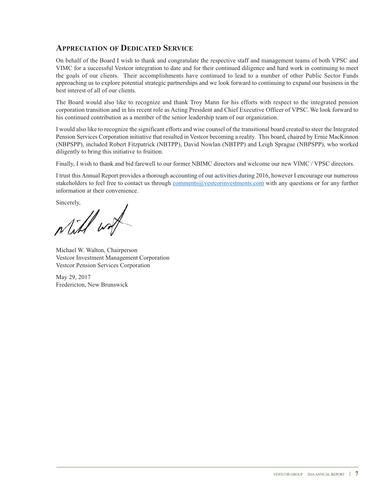# **appreciation of dedicated serVice**

on behalf of the Board I wish to thank and congratulate the respective staff and management teams of both vpsc and vIMc for a successful vestcor integration to date and for their continued diligence and hard work in continuing to meet the goals of our clients. Their accomplishments have continued to lead to a number of other Public Sector Funds approaching us to explore potential strategic partnerships and we look forward to continuing to expand our business in the best interest of all of our clients.

The Board would also like to recognize and thank Troy Mann for his efforts with respect to the integrated pension corporation transition and in his recent role as Acting President and Chief Executive Officer of VPSC. We look forward to his continued contribution as a member of the senior leadership team of our organization.

I would also like to recognize the significant efforts and wise counsel of the transitional board created to steer the Integrated Pension Services Corporation initiative that resulted in Vestcor becoming a reality. This board, chaired by Ernie MacKinnon (NBPSPP), included Robert Fitzpatrick (NBTPP), David Nowlan (NBTPP) and Leigh Sprague (NBPSPP), who worked diligently to bring this initiative to fruition.

Finally, I wish to thank and bid farewell to our former nBIMc directors and welcome our new vIMc / vpsc directors.

I trust this Annual Report provides a thorough accounting of our activities during 2016, however I encourage our numerous stakeholders to feel free to contact us through comments@vestcorinvestments.com with any questions or for any further information at their convenience.

sincerely,<br>Mill wat

Michael W. Walton, chairperson Vestcor Investment Management Corporation vestcor pension services corporation

May 29, 2017 Fredericton, New Brunswick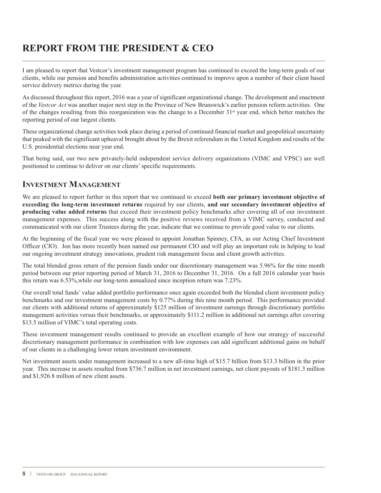# **report from tHe president & ceo**

I am pleased to report that vestcor's investment management program has continued to exceed the long-term goals of our clients, while our pension and benefits administration activities continued to improve upon a number of their client based service delivery metrics during the year.

As discussed throughout this report, 2016 was a year of significant organizational change. The development and enactment of the *Vestcor Act* was another major next step in the province of new Brunswick's earlier pension reform activities. one of the changes resulting from this reorganization was the change to a December 31st year end, which better matches the reporting period of our largest clients.

these organizational change activities took place during a period of continued financial market and geopolitical uncertainty that peaked with the significant upheaval brought about by the Brexit referendum in the United Kingdom and results of the U.S. presidential elections near year end.

that being said, our two new privately-held independent service delivery organizations (vIMc and vpsc) are well positioned to continue to deliver on our clients'specific requirements.

# **inVestment management**

We are pleased to report further in this report that we continued to exceed **both our primary investment objective of exceeding the long-term investment returns** required by our clients, **and our secondary investment objective of producing value added returns** that exceed their investment policy benchmarks after covering all of our investment management expenses. This success along with the positive reviews received from a VIMC survey, conducted and communicated with our client trustees during the year, indicate that we continue to provide good value to our clients.

at the beginning of the fiscal year we were pleased to appoint Jonathan spinney, cFa, as our acting chief Investment officer (cIo). Jon has more recently been named our permanent cIo and will play an important role in helping to lead our ongoing investment strategy innovations, prudent risk management focus and client growth activities.

The total blended gross return of the pension funds under our discretionary management was 5.96% for the nine month period between our prior reporting period of March 31, 2016 to December 31, 2016. on a full 2016 calendar year basis this return was 6.53%,while our long-term annualized since inception return was 7.23%.

our overall total funds' value added portfolio performance once again exceeded both the blended client investment policy benchmarks and our investment management costs by 0.77% during this nine month period. this performance provided our clients with additional returns of approximately \$125 million of investment earnings through discretionary portfolio management activities versus their benchmarks, or approximately \$111.2 million in additional net earnings after covering \$13.5 million of vIMc's total operating costs.

These investment management results continued to provide an excellent example of how our strategy of successful discretionary management performance in combination with low expenses can add significant additional gains on behalf of our clients in a challenging lower return investment environment.

Net investment assets under management increased to a new all-time high of \$15.7 billion from \$13.3 billion in the prior year. This increase in assets resulted from \$736.7 million in net investment earnings, net client payouts of \$181.3 million and \$1,926.8 million of new client assets.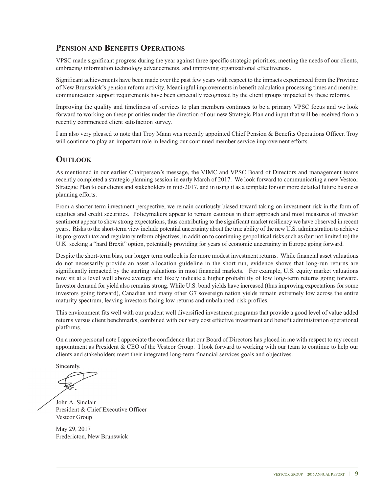# **pension and Benefits operations**

vpsc made significant progress during the year against three specific strategic priorities; meeting the needs of our clients, embracing information technology advancements, and improving organizational effectiveness.

significant achievements have been made over the past few years with respect to the impacts experienced from the province of new Brunswick's pension reform activity. Meaningful improvements in benefit calculation processing times and member communication support requirements have been especially recognized by the client groups impacted by these reforms.

Improving the quality and timeliness of services to plan members continues to be a primary VPSC focus and we look forward to working on these priorities under the direction of our new strategic plan and input that will be received from a recently commenced client satisfaction survey.

I am also very pleased to note that Troy Mann was recently appointed Chief Pension & Benefits Operations Officer. Troy will continue to play an important role in leading our continued member service improvement efforts.

# **OUTLOOK**

As mentioned in our earlier Chairperson's message, the VIMC and VPSC Board of Directors and management teams recently completed a strategic planning session in early March of 2017. We look forward to communicating a new vestcor strategic plan to our clients and stakeholders in mid-2017, and in using it as a template for our more detailed future business planning efforts.

From a shorter-term investment perspective, we remain cautiously biased toward taking on investment risk in the form of equities and credit securities. policymakers appear to remain cautious in their approach and most measures of investor sentiment appear to show strong expectations, thus contributing to the significant market resiliency we have observed in recent years. Risks to the short-term view include potential uncertainty about the true ability of the new U.S. administration to achieve its pro-growth tax and regulatory reform objectives, in addition to continuing geopolitical risks such as (but not limited to) the U.K. seeking a "hard Brexit" option, potentially providing for years of economic uncertainty in Europe going forward.

Despite the short-term bias, our longer term outlook is for more modest investment returns. While financial asset valuations do not necessarily provide an asset allocation guideline in the short run, evidence shows that long-run returns are significantly impacted by the starting valuations in most financial markets. For example, U.S. equity market valuations now sit at a level well above average and likely indicate a higher probability of low long-term returns going forward. Investor demand for yield also remains strong. While U.S. bond yields have increased (thus improving expectations for some investors going forward), canadian and many other g7 sovereign nation yields remain extremely low across the entire maturity spectrum, leaving investors facing low returns and unbalanced risk profiles.

this environment fits well with our prudent well diversified investment programs that provide a good level of value added returns versus client benchmarks, combined with our very cost effective investment and benefit administration operational platforms.

on a more personal note I appreciate the confidence that our Board of Directors has placed in me with respect to my recent appointment as President & CEO of the Vestcor Group. I look forward to working with our team to continue to help our clients and stakeholders meet their integrated long-term financial services goals and objectives.

sincerely,

John A. Sinclair President & Chief Executive Officer Vestcor Group

May 29, 2017 Fredericton, New Brunswick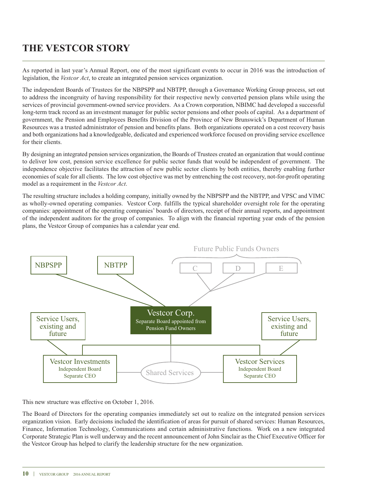# **tHe Vestcor story**

As reported in last year's Annual Report, one of the most significant events to occur in 2016 was the introduction of legislation, the *Vestcor Act*, to create an integrated pension services organization.

The independent Boards of Trustees for the NBPSPP and NBTPP, through a Governance Working Group process, set out to address the incongruity of having responsibility for their respective newly converted pension plans while using the services of provincial government-owned service providers. As a Crown corporation, NBIMC had developed a successful long-term track record as an investment manager for public sector pensions and other pools of capital. As a department of government, the pension and employees Benefits Division of the province of new Brunswick's Department of Human Resources was a trusted administrator of pension and benefits plans. Both organizations operated on a cost recovery basis and both organizations had a knowledgeable, dedicated and experienced workforce focused on providing service excellence for their clients.

By designing an integrated pension services organization, the Boards of Trustees created an organization that would continue to deliver low cost, pension service excellence for public sector funds that would be independent of government. the independence objective facilitates the attraction of new public sector clients by both entities, thereby enabling further economies of scale for all clients. the low cost objective was met by entrenching the cost recovery, not-for-profit operating model as a requirement in the *Vestcor Act*.

The resulting structure includes a holding company, initially owned by the NBPSPP and the NBTPP, and VPSC and VIMC as wholly-owned operating companies. vestcor corp. fulfills the typical shareholder oversight role for the operating companies: appointment of the operating companies' boards of directors, receipt of their annual reports, and appointment of the independent auditors for the group of companies. to align with the financial reporting year ends of the pension plans, the vestcor group of companies has a calendar year end.



This new structure was effective on October 1, 2016.

the Board of Directors for the operating companies immediately set out to realize on the integrated pension services organization vision. Early decisions included the identification of areas for pursuit of shared services: Human Resources, Finance, Information technology, communications and certain administrative functions. Work on a new integrated Corporate Strategic Plan is well underway and the recent announcement of John Sinclair as the Chief Executive Officer for the vestcor group has helped to clarify the leadership structure for the new organization.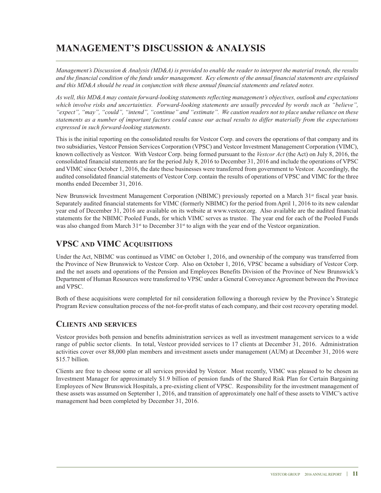# **management's discussion & analysis**

Management's Discussion & Analysis (MD&A) is provided to enable the reader to interpret the material trends, the results and the financial condition of the funds under management. Key elements of the annual financial statements are explained *and this MD&A should be read in conjunction with these annual financial statements and related notes.*

*As well, this MD&A may contain forward-looking statements reflecting management's objectives, outlook and expectations which involve risks and uncertainties. Forward-looking statements are usually preceded by words such as "believe",* "expect", "may", "could", "intend", "continue" and "estimate". We caution readers not to place undue reliance on these statements as a number of important factors could cause our actual results to differ materially from the expectations *expressed in such forward-looking statements.*

This is the initial reporting on the consolidated results for Vestcor Corp. and covers the operations of that company and its two subsidiaries, Vestcor Pension Services Corporation (VPSC) and Vestcor Investment Management Corporation (VIMC), known collectively as vestcor. With vestcor corp. being formed pursuant to the *Vestcor Act* (the act) on July 8, 2016, the consolidated financial statements are for the period July 8, 2016 to December 31, 2016 and include the operations of vpsc and VIMC since October 1, 2016, the date these businesses were transferred from government to Vestcor. Accordingly, the audited consolidated financial statements of vestcor corp. contain the results of operations of vpsc and vIMc for the three months ended December 31, 2016.

New Brunswick Investment Management Corporation (NBIMC) previously reported on a March 31<sup>st</sup> fiscal year basis. separately audited financial statements for vIMc (formerly nBIMc) for the period from april 1, 2016 to its new calendar year end of December 31, 2016 are available on its website at www.vestcor.org. also available are the audited financial statements for the NBIMC Pooled Funds, for which VIMC serves as trustee. The year end for each of the Pooled Funds was also changed from March 31<sup>st</sup> to December 31<sup>st</sup> to align with the year end of the Vestcor organization.

# **Vpsc and Vimc acQuisitions**

Under the Act, NBIMC was continued as VIMC on October 1, 2016, and ownership of the company was transferred from the Province of New Brunswick to Vestcor Corp. Also on October 1, 2016, VPSC became a subsidiary of Vestcor Corp. and the net assets and operations of the Pension and Employees Benefits Division of the Province of New Brunswick's Department of Human Resources were transferred to VPSC under a General Conveyance Agreement between the Province and vpsc.

Both of these acquisitions were completed for nil consideration following a thorough review by the province's strategic Program Review consultation process of the not-for-profit status of each company, and their cost recovery operating model.

# **clients and serVices**

vestcor provides both pension and benefits administration services as well as investment management services to a wide range of public sector clients. In total, Vestcor provided services to 17 clients at December 31, 2016. Administration activities cover over 88,000 plan members and investment assets under management (AUM) at December 31, 2016 were \$15.7 billion.

clients are free to choose some or all services provided by vestcor. Most recently, vIMc was pleased to be chosen as Investment Manager for approximately \$1.9 billion of pension funds of the Shared Risk Plan for Certain Bargaining Employees of New Brunswick Hospitals, a pre-existing client of VPSC. Responsibility for the investment management of these assets was assumed on september 1, 2016, and transition of approximately one half of these assets to vIMc's active management had been completed by December 31, 2016.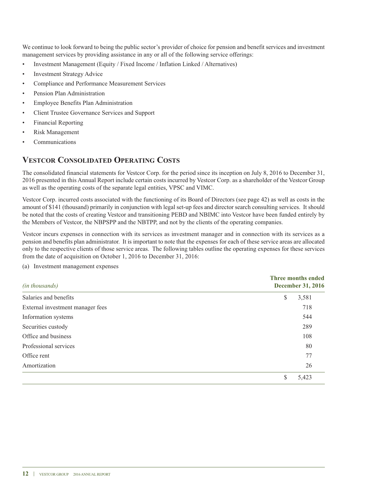We continue to look forward to being the public sector's provider of choice for pension and benefit services and investment management services by providing assistance in any or all of the following service offerings:

- Investment Management (Equity / Fixed Income / Inflation Linked / Alternatives)
- **Investment Strategy Advice**
- Compliance and Performance Measurement Services
- Pension Plan Administration
- **Employee Benefits Plan Administration**
- Client Trustee Governance Services and Support
- **Financial Reporting**
- Risk Management
- **Communications**

# **Vestcor consolidated operating costs**

The consolidated financial statements for Vestcor Corp. for the period since its inception on July 8, 2016 to December 31, 2016 presented in this Annual Report include certain costs incurred by Vestcor Corp. as a shareholder of the Vestcor Group as well as the operating costs of the separate legal entities, VPSC and VIMC.

vestcor corp. incurred costs associated with the functioning of its Board of Directors (see page 42) as well as costs in the amount of \$141 (thousand) primarily in conjunction with legal set-up fees and director search consulting services. It should be noted that the costs of creating vestcor and transitioning peBD and nBIMc into vestcor have been funded entirely by the Members of Vestcor, the NBPSPP and the NBTPP, and not by the clients of the operating companies.

vestcor incurs expenses in connection with its services as investment manager and in connection with its services as a pension and benefits plan administrator. It is important to note that the expenses for each of these service areas are allocated only to the respective clients of those service areas. the following tables outline the operating expenses for these services from the date of acquisition on October 1, 2016 to December 31, 2016:

#### (a) Investment management expenses

| (in thousands)                   | <b>Three months ended</b><br><b>December 31, 2016</b> |
|----------------------------------|-------------------------------------------------------|
| Salaries and benefits            | \$<br>3,581                                           |
| External investment manager fees | 718                                                   |
| Information systems              | 544                                                   |
| Securities custody               | 289                                                   |
| Office and business              | 108                                                   |
| Professional services            | 80                                                    |
| Office rent                      | 77                                                    |
| Amortization                     | 26                                                    |
|                                  | 5,423<br>\$                                           |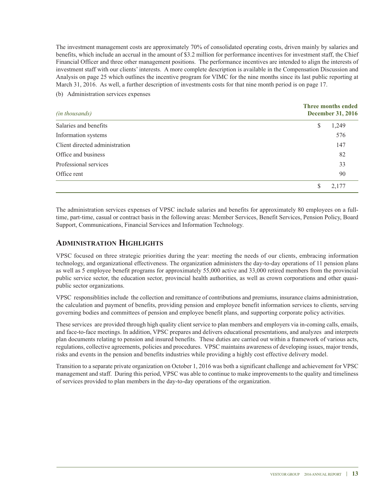the investment management costs are approximately 70% of consolidated operating costs, driven mainly by salaries and benefits, which include an accrual in the amount of \$3.2 million for performance incentives for investment staff, the chief Financial officer and three other management positions. the performance incentives are intended to align the interests of investment staff with our clients' interests. a more complete description is available in the compensation Discussion and analysis on page 25 which outlines the incentive program for vIMc for the nine months since its last public reporting at March 31, 2016. as well, a further description of investments costs for that nine month period is on page 17.

(b) administration services expenses

| <i>(in thousands)</i>          | Three months ended<br><b>December 31, 2016</b> |
|--------------------------------|------------------------------------------------|
| Salaries and benefits          | 1,249<br>S                                     |
| Information systems            | 576                                            |
| Client directed administration | 147                                            |
| Office and business            | 82                                             |
| Professional services          | 33                                             |
| Office rent                    | 90                                             |
|                                | 2,177                                          |

The administration services expenses of VPSC include salaries and benefits for approximately 80 employees on a fulltime, part-time, casual or contract basis in the following areas: Member services, Benefit services, pension policy, Board Support, Communications, Financial Services and Information Technology.

# **administration HigHligHts**

vpsc focused on three strategic priorities during the year: meeting the needs of our clients, embracing information technology, and organizational effectiveness. the organization administers the day-to-day operations of 11 pension plans as well as 5 employee benefit programs for approximately 55,000 active and 33,000 retired members from the provincial public service sector, the education sector, provincial health authorities, as well as crown corporations and other quasipublic sector organizations.

vpsc responsiblities include the collection and remittance of contributions and premiums, insurance claims administration, the calculation and payment of benefits, providing pension and employee benefit information services to clients, serving governing bodies and committees of pension and employee benefit plans, and supporting corporate policy activities.

these services are provided through high quality client service to plan members and employers via in-coming calls, emails, and face-to-face meetings. In addition, vpsc prepares and delivers educational presentations, and analyzes and interprets plan documents relating to pension and insured benefits. these duties are carried out within a framework of various acts, regulations, collective agreements, policies and procedures. vpsc maintains awareness of developing issues, major trends, risks and events in the pension and benefits industries while providing a highly cost effective delivery model.

Transition to a separate private organization on October 1, 2016 was both a significant challenge and achievement for VPSC management and staff. During this period, VPSC was able to continue to make improvements to the quality and timeliness of services provided to plan members in the day-to-day operations of the organization.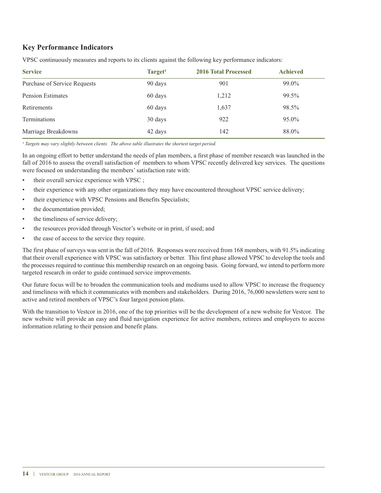# **key performance indicators**

vpsc continuously measures and reports to its clients against the following key performance indicators:

| <b>Service</b>               | Target <sup>1</sup> | <b>2016 Total Processed</b> | <b>Achieved</b> |
|------------------------------|---------------------|-----------------------------|-----------------|
| Purchase of Service Requests | 90 days             | 901                         | 99.0%           |
| <b>Pension Estimates</b>     | 60 days             | 1,212                       | 99.5%           |
| Retirements                  | 60 days             | 1,637                       | 98.5%           |
| Terminations                 | 30 days             | 922                         | $95.0\%$        |
| Marriage Breakdowns          | 42 days             | 142                         | 88.0%           |

*¹ Targets may vary slightly between clients. The above table illustrates the shortest target period.*

In an ongoing effort to better understand the needs of plan members, a first phase of member research was launched in the fall of 2016 to assess the overall satisfaction of members to whom VPSC recently delivered key services. The questions were focused on understanding the members' satisfaction rate with:

- their overall service experience with VPSC;
- their experience with any other organizations they may have encountered throughout VPSC service delivery;
- their experience with VPSC Pensions and Benefits Specialists;
- the documentation provided;
- the timeliness of service delivery;
- the resources provided through Vesctor's website or in print, if used; and
- the ease of access to the service they require.

The first phase of surveys was sent in the fall of 2016. Responses were received from 168 members, with 91.5% indicating that their overall experience with VPSC was satisfactory or better. This first phase allowed VPSC to develop the tools and the processes required to continue this membership research on an ongoing basis. going forward, we intend to perform more targeted research in order to guide continued service improvements.

Our future focus will be to broaden the communication tools and mediums used to allow VPSC to increase the frequency and timeliness with which it communicates with members and stakeholders. During 2016, 76,000 newsletters were sent to active and retired members of vpsc's four largest pension plans.

With the transition to Vestcor in 2016, one of the top priorities will be the development of a new website for Vestcor. The new website will provide an easy and fluid navigation experience for active members, retirees and employers to access information relating to their pension and benefit plans.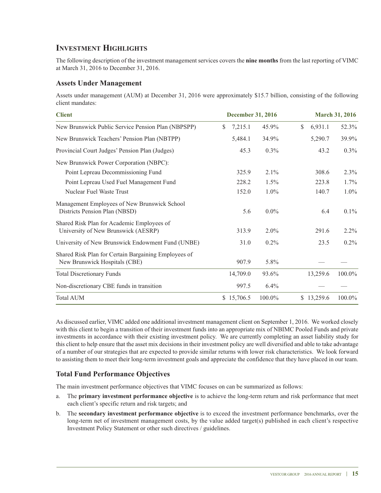# **inVestment HigHligHts**

the following description of the investment management services covers the **nine months** from the last reporting of vIMc at March 31, 2016 to December 31, 2016.

#### **assets under management**

Assets under management (AUM) at December 31, 2016 were approximately \$15.7 billion, consisting of the following client mandates:

| <b>Client</b>                                                                         |               | <b>December 31, 2016</b> |               | <b>March 31, 2016</b> |  |  |
|---------------------------------------------------------------------------------------|---------------|--------------------------|---------------|-----------------------|--|--|
| New Brunswick Public Service Pension Plan (NBPSPP)                                    | 7,215.1<br>\$ | 45.9%                    | 6,931.1<br>\$ | 52.3%                 |  |  |
| New Brunswick Teachers' Pension Plan (NBTPP)                                          | 5,484.1       | 34.9%                    | 5,290.7       | 39.9%                 |  |  |
| Provincial Court Judges' Pension Plan (Judges)                                        | 45.3          | 0.3%                     | 43.2          | $0.3\%$               |  |  |
| New Brunswick Power Corporation (NBPC):                                               |               |                          |               |                       |  |  |
| Point Lepreau Decommissioning Fund                                                    | 325.9         | $2.1\%$                  | 308.6         | $2.3\%$               |  |  |
| Point Lepreau Used Fuel Management Fund                                               | 228.2         | $1.5\%$                  | 223.8         | $1.7\%$               |  |  |
| Nuclear Fuel Waste Trust                                                              | 152.0         | $1.0\%$                  | 140.7         | $1.0\%$               |  |  |
| Management Employees of New Brunswick School<br>Districts Pension Plan (NBSD)         | 5.6           | $0.0\%$                  | 6.4           | $0.1\%$               |  |  |
| Shared Risk Plan for Academic Employees of<br>University of New Brunswick (AESRP)     | 313.9         | $2.0\%$                  | 291.6         | $2.2\%$               |  |  |
| University of New Brunswick Endowment Fund (UNBE)                                     | 31.0          | 0.2%                     | 23.5          | $0.2\%$               |  |  |
| Shared Risk Plan for Certain Bargaining Employees of<br>New Brunswick Hospitals (CBE) | 907.9         | 5.8%                     |               |                       |  |  |
| <b>Total Discretionary Funds</b>                                                      | 14,709.0      | 93.6%                    | 13,259.6      | 100.0%                |  |  |
| Non-discretionary CBE funds in transition                                             | 997.5         | 6.4%                     |               |                       |  |  |
| <b>Total AUM</b>                                                                      | \$15,706.5    | 100.0%                   | \$13,259.6    | 100.0%                |  |  |

as discussed earlier, vIMc added one additional investment management client on september 1, 2016. We worked closely with this client to begin a transition of their investment funds into an appropriate mix of NBIMC Pooled Funds and private investments in accordance with their existing investment policy. We are currently completing an asset liability study for this client to help ensure that the asset mix decisions in their investment policy are well diversified and able to take advantage of a number of our strategies that are expected to provide similar returns with lower risk characteristics. We look forward to assisting them to meet their long-term investment goals and appreciate the confidence that they have placed in our team.

# **total fund performance objectives**

The main investment performance objectives that VIMC focuses on can be summarized as follows:

- a. the **primary investment performance objective** is to achieve the long-term return and risk performance that meet each client's specific return and risk targets; and
- b. the **secondary investment performance objective** is to exceed the investment performance benchmarks, over the long-term net of investment management costs, by the value added target(s) published in each client's respective Investment policy statement or other such directives / guidelines.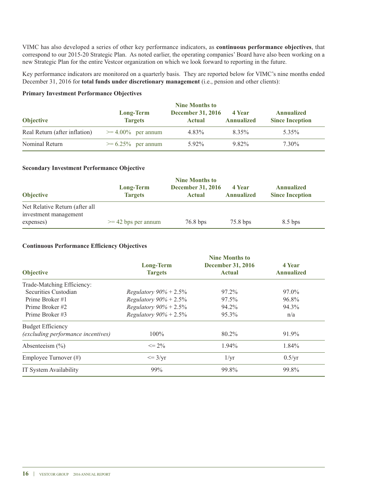vIMc has also developed a series of other key performance indicators, as **continuous performance objectives**, that correspond to our 2015-20 strategic plan. as noted earlier, the operating companies' Board have also been working on a new strategic plan for the entire vestcor organization on which we look forward to reporting in the future.

Key performance indicators are monitored on a quarterly basis. They are reported below for VIMC's nine months ended December 31, 2016 for **total funds under discretionary management** (i.e., pension and other clients):

#### **primary investment performance objectives**

| <b>Objective</b>              | Long-Term<br><b>Targets</b> | <b>December 31, 2016</b><br>Actual | 4 Year<br><b>Annualized</b> | Annualized<br><b>Since Inception</b> |
|-------------------------------|-----------------------------|------------------------------------|-----------------------------|--------------------------------------|
| Real Return (after inflation) | $\geq$ 4.00% per annum      | 4.83%                              | $8.35\%$                    | 5.35%                                |
| Nominal Return                | $\geq 6.25\%$ per annum     | 5.92%                              | 9.82%                       | 7.30%                                |

#### **secondary investment performance objective**

| <b>Objective</b>                                                     | <b>Long-Term</b><br><b>Targets</b> | <b>December 31, 2016</b><br>Actual | 4 Year<br><b>Annualized</b> | <b>Annualized</b><br><b>Since Inception</b> |
|----------------------------------------------------------------------|------------------------------------|------------------------------------|-----------------------------|---------------------------------------------|
| Net Relative Return (after all<br>investment management<br>expenses) | $>= 42$ bps per annum              | $76.8$ bps                         | $75.8$ bps                  | $8.5$ bps                                   |

#### **continuous performance efficiency objectives**

|                                           | <b>Nine Months to</b>            |                          |                   |  |  |  |
|-------------------------------------------|----------------------------------|--------------------------|-------------------|--|--|--|
|                                           | <b>Long-Term</b>                 | <b>December 31, 2016</b> | 4 Year            |  |  |  |
| <b>Objective</b>                          | <b>Targets</b>                   | <b>Actual</b>            | <b>Annualized</b> |  |  |  |
| Trade-Matching Efficiency:                |                                  |                          |                   |  |  |  |
| Securities Custodian                      | <i>Regulatory</i> $90\% + 2.5\%$ | $97.2\%$                 | 97.0%             |  |  |  |
| Prime Broker #1                           | <i>Regulatory</i> $90\% + 2.5\%$ | 97.5%                    | 96.8%             |  |  |  |
| Prime Broker #2                           | <i>Regulatory</i> $90\% + 2.5\%$ | 94.2%                    | 94.3%             |  |  |  |
| Prime Broker #3                           | <i>Regulatory</i> $90\% + 2.5\%$ | $95.3\%$                 | n/a               |  |  |  |
| <b>Budget Efficiency</b>                  |                                  |                          |                   |  |  |  |
| <i>(excluding performance incentives)</i> | $100\%$                          | $80.2\%$                 | 91.9%             |  |  |  |
| Absenteeism $(\% )$                       | $\leq$ 2%                        | $1.94\%$                 | 1.84%             |  |  |  |
| Employee Turnover (#)                     | $\leq$ 3/yr                      | $1/\mathrm{yr}$          | $0.5/\text{yr}$   |  |  |  |
| IT System Availability                    | 99%                              | 99.8%                    | 99.8%             |  |  |  |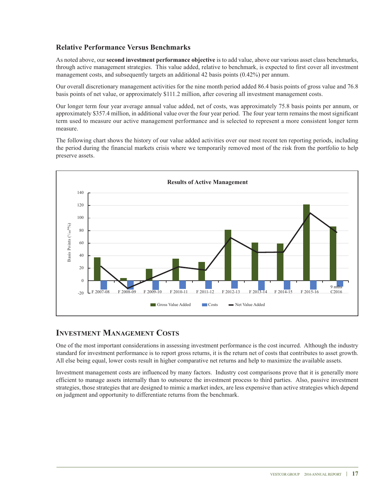# **relative performance Versus Benchmarks**

as noted above, our **second investment performance objective** is to add value, above our various asset class benchmarks, through active management strategies. this value added, relative to benchmark, is expected to first cover all investment management costs, and subsequently targets an additional 42 basis points (0.42%) per annum.

our overall discretionary management activities for the nine month period added 86.4 basis points of gross value and 76.8 basis points of net value, or approximately \$111.2 million, after covering all investment management costs.

Our longer term four year average annual value added, net of costs, was approximately 75.8 basis points per annum, or approximately \$357.4 million, in additional value over the four year period. the four year term remains the most significant term used to measure our active management performance and is selected to represent a more consistent longer term measure.

The following chart shows the history of our value added activities over our most recent ten reporting periods, including the period during the financial markets crisis where we temporarily removed most of the risk from the portfolio to help preserve assets.



# **inVestment management costs**

one of the most important considerations in assessing investment performance is the cost incurred. although the industry standard for investment performance is to report gross returns, it is the return net of costs that contributes to asset growth. all else being equal, lower costs result in higher comparative net returns and help to maximize the available assets.

Investment management costs are influenced by many factors. Industry cost comparisons prove that it is generally more efficient to manage assets internally than to outsource the investment process to third parties. also, passive investment strategies, those strategies that are designed to mimic a market index, are less expensive than active strategies which depend on judgment and opportunity to differentiate returns from the benchmark.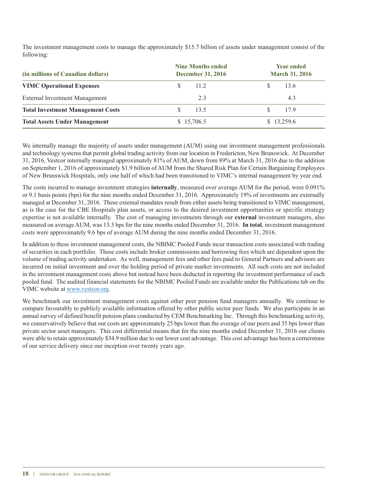The investment management costs to manage the approximately \$15.7 billion of assets under management consist of the following:

| (in millions of Canadian dollars)        | <b>Nine Months ended</b><br><b>December 31, 2016</b> | <b>Year ended</b><br><b>March 31, 2016</b> |  |  |
|------------------------------------------|------------------------------------------------------|--------------------------------------------|--|--|
| <b>VIMC Operational Expenses</b>         | 11.2                                                 | 13.6                                       |  |  |
| External Investment Management           | 2.3                                                  | 4.3                                        |  |  |
| <b>Total Investment Management Costs</b> | 13.5                                                 | 17.9                                       |  |  |
| <b>Total Assets Under Management</b>     | \$15,706.5                                           | \$13,259.6                                 |  |  |

We internally manage the majority of assets under management (AUM) using our investment management professionals and technology systems that permit global trading activity from our location in Fredericton, new Brunswick. at December 31, 2016, Vestcor internally managed approximately 81% of AUM, down from 89% at March 31, 2016 due to the addition on September 1, 2016 of approximately \$1.9 billion of AUM from the Shared Risk Plan for Certain Bargaining Employees of new Brunswick Hospitals, only one half of which had been transitioned to vIMc's internal management by year end.

The costs incurred to manage investment strategies **internally**, measured over average AUM for the period, were 0.091% or 9.1 basis points (bps) for the nine months ended December 31, 2016. approximately 19% of investments are externally managed at December 31, 2016. These external mandates result from either assets being transitioned to VIMC management, as is the case for the cBe Hospitals plan assets, or access to the desired investment opportunities or specific strategy expertise is not available internally. the cost of managing investments through our **external** investment managers, also measured on average AUM, was 13.3 bps for the nine months ended December 31, 2016. In total, investment management costs were approximately 9.6 bps of average AUM during the nine months ended December 31, 2016.

In addition to these investment management costs, the NBIMC Pooled Funds incur transaction costs associated with trading of securities in each portfolio. these costs include broker commissions and borrowing fees which are dependent upon the volume of trading activity undertaken. as well, management fees and other fees paid to general partners and advisors are incurred on initial investment and over the holding period of private market investments. all such costs are not included in the investment management costs above but instead have been deducted in reporting the investment performance of each pooled fund. The audited financial statements for the NBIMC Pooled Funds are available under the Publications tab on the vIMc website at www.vestcor.org.

We benchmark our investment management costs against other peer pension fund managers annually. We continue to compare favourably to publicly available information offered by other public sector peer funds. We also participate in an annual survey of defined benefit pension plans conducted by CEM Benchmarking Inc. Through this benchmarking activity, we conservatively believe that our costs are approximately 25 bps lower than the average of our peers and 35 bps lower than private sector asset managers. this cost differential means that for the nine months ended December 31, 2016 our clients were able to retain approximately \$34.9 million due to our lower cost advantage. This cost advantage has been a cornerstone of our service delivery since our inception over twenty years ago.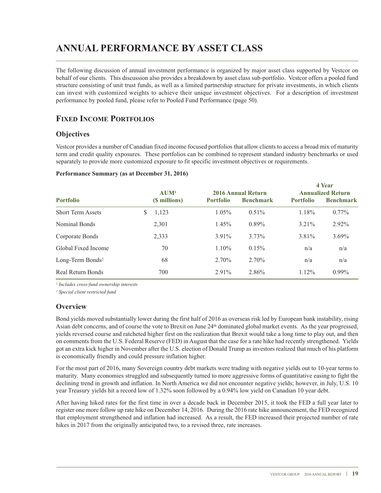# **annual performance By asset class**

the following discussion of annual investment performance is organized by major asset class supported by vestcor on behalf of our clients. This discussion also provides a breakdown by asset class sub-portfolio. Vestcor offers a pooled fund structure consisting of unit trust funds, as well as a limited partnership structure for private investments, in which clients can invest with customized weights to achieve their unique investment objectives. For a description of investment performance by pooled fund, please refer to pooled Fund performance (page 50).

# **fixed income portfolios**

### **objectives**

vestcor provides a number of canadian fixed income focused portfolios that allow clients to access a broad mix of maturity term and credit quality exposures. these portfolios can be combined to represent standard industry benchmarks or used separately to provide more customized exposure to fit specific investment objectives or requirements.

#### **performance summary (as at december 31, 2016)**

|                              |                  |                  |                    |                  | - 1071                   |  |
|------------------------------|------------------|------------------|--------------------|------------------|--------------------------|--|
|                              | AUM <sup>1</sup> |                  | 2016 Annual Return |                  | <b>Annualized Return</b> |  |
| <b>Portfolio</b>             | (\$ millions)    | <b>Portfolio</b> | <b>Benchmark</b>   | <b>Portfolio</b> | <b>Benchmark</b>         |  |
| <b>Short Term Assets</b>     | 1,123<br>S.      | $1.05\%$         | $0.51\%$           | 1.18%            | $0.77\%$                 |  |
| Nominal Bonds                | 2,301            | $1.45\%$         | $0.89\%$           | $3.21\%$         | $2.92\%$                 |  |
| Corporate Bonds              | 2,333            | $3.91\%$         | $3.73\%$           | $3.81\%$         | $3.69\%$                 |  |
| Global Fixed Income          | 70               | $1.10\%$         | $0.15\%$           | n/a              | n/a                      |  |
| Long-Term Bonds <sup>2</sup> | 68               | $2.70\%$         | 2.70%              | n/a              | n/a                      |  |
| Real Return Bonds            | 700              | $2.91\%$         | 2.86%              | 1.12%            | $0.99\%$                 |  |

*<sup>1</sup> Includes cross-fund ownership interests*

*<sup>2</sup> Special client restricted fund*

#### **overview**

Bond yields moved substantially lower during the first half of 2016 as overseas risk led by European bank instability, rising Asian debt concerns, and of course the vote to Brexit on June 24<sup>th</sup> dominated global market events. As the year progressed, yields reversed course and ratcheted higher first on the realization that Brexit would take a long time to play out, and then on comments from the U.S. Federal Reserve (FED) in August that the case for a rate hike had recently strengthened. Yields got an extra kick higher in November after the U.S. election of Donald Trump as investors realized that much of his platform is economically friendly and could pressure inflation higher.

For the most part of 2016, many sovereign country debt markets were trading with negative yields out to 10-year terms to maturity. Many economies struggled and subsequently turned to more aggressive forms of quantitative easing to fight the declining trend in growth and inflation. In North America we did not encounter negative yields; however, in July, U.S. 10 year treasury yields hit a record low of 1.32% soon followed by a 0.94% low yield on canadian 10 year debt.

after having hiked rates for the first time in over a decade back in December 2015, it took the FeD a full year later to register one more follow up rate hike on December 14, 2016. During the 2016 rate hike announcement, the FeD recognized that employment strengthened and inflation had increased. as a result, the FeD increased their projected number of rate hikes in 2017 from the originally anticipated two, to a revised three, rate increases.

**4 year**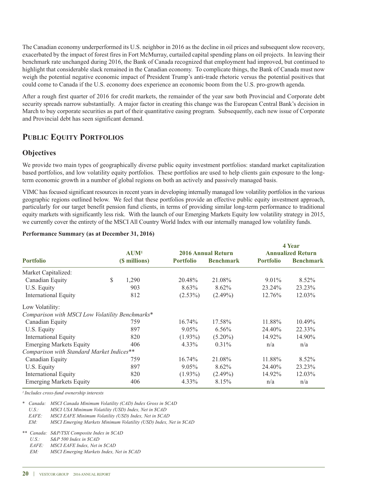The Canadian economy underperformed its U.S. neighbor in 2016 as the decline in oil prices and subsequent slow recovery, exacerbated by the impact of forest fires in Fort McMurray, curtailed capital spending plans on oil projects. In leaving their benchmark rate unchanged during 2016, the Bank of canada recognized that employment had improved, but continued to highlight that considerable slack remained in the Canadian economy. To complicate things, the Bank of Canada must now weigh the potential negative economic impact of President Trump's anti-trade rhetoric versus the potential positives that could come to Canada if the U.S. economy does experience an economic boom from the U.S. pro-growth agenda.

after a rough first quarter of 2016 for credit markets, the remainder of the year saw both provincial and corporate debt security spreads narrow substantially. A major factor in creating this change was the European Central Bank's decision in March to buy corporate securities as part of their quantitative easing program. subsequently, each new issue of corporate and provincial debt has seen significant demand.

# **PUBLIC EQUITY PORTFOLIOS**

### **objectives**

We provide two main types of geographically diverse public equity investment portfolios: standard market capitalization based portfolios, and low volatility equity portfolios. these portfolios are used to help clients gain exposure to the longterm economic growth in a number of global regions on both an actively and passively managed basis.

vIMc hasfocused significant resourcesin recent yearsin developing internally managed low volatility portfoliosin the various geographic regions outlined below. We feel that these portfolios provide an effective public equity investment approach, particularly for our target benefit pension fund clients, in terms of providing similar long-term performance to traditional equity markets with significantly less risk. With the launch of our Emerging Markets Equity low volatility strategy in 2015, we currently cover the entirety of the MscI all country World Index with our internally managed low volatility funds.

**4 year**

#### **performance summary (as at december 31, 2016)**

|                                                 |    |                     |                  |                    |                  | 4 Year                   |
|-------------------------------------------------|----|---------------------|------------------|--------------------|------------------|--------------------------|
|                                                 |    | $A$ UM <sup>1</sup> |                  | 2016 Annual Return |                  | <b>Annualized Return</b> |
| <b>Portfolio</b>                                |    | (\$ millions)       | <b>Portfolio</b> | <b>Benchmark</b>   | <b>Portfolio</b> | <b>Benchmark</b>         |
| Market Capitalized:                             |    |                     |                  |                    |                  |                          |
| Canadian Equity                                 | \$ | 1,290               | 20.48%           | 21.08%             | $9.01\%$         | $8.52\%$                 |
| U.S. Equity                                     |    | 903                 | $8.63\%$         | $8.62\%$           | 23.24%           | 23.23%                   |
| <b>International Equity</b>                     |    | 812                 | $(2.53\%)$       | $(2.49\%)$         | 12.76%           | 12.03%                   |
| Low Volatility:                                 |    |                     |                  |                    |                  |                          |
| Comparison with MSCI Low Volatility Benchmarks* |    |                     |                  |                    |                  |                          |
| Canadian Equity                                 |    | 759                 | $16.74\%$        | 17.58%             | 11.88%           | $10.49\%$                |
| U.S. Equity                                     |    | 897                 | $9.05\%$         | $6.56\%$           | 24.40%           | 22.33%                   |
| <b>International Equity</b>                     |    | 820                 | $(1.93\%)$       | $(5.20\%)$         | 14.92%           | 14.90%                   |
| <b>Emerging Markets Equity</b>                  |    | 406                 | $4.33\%$         | $0.31\%$           | n/a              | n/a                      |
| Comparison with Standard Market Indices**       |    |                     |                  |                    |                  |                          |
| Canadian Equity                                 |    | 759                 | $16.74\%$        | 21.08%             | 11.88%           | $8.52\%$                 |
| U.S. Equity                                     |    | 897                 | $9.05\%$         | 8.62%              | 24.40%           | 23.23%                   |
| <b>International Equity</b>                     |    | 820                 | $(1.93\%)$       | $(2.49\%)$         | 14.92%           | 12.03%                   |
| <b>Emerging Markets Equity</b>                  |    | 406                 | $4.33\%$         | 8.15%              | n/a              | n/a                      |

*<sup>1</sup> Includes cross-fund ownership interests*

*\* Canada: MSCI Canada Minimum Volatility (CAD) Index Gross in \$CAD*

*U.S.: MSCI USA Minimum Volatility (USD) Index, Net in \$CAD*

*EAFE: MSCI EAFE Minimum Volatility (USD) Index, Net in \$CAD*

*EM: MSCI Emerging Markets Minimum Volatility (USD) Index, Net in \$CAD*

*\*\* Canada: S&P/TSX Composite Index in \$CAD*

*U.S.: S&P 500 Index in \$CAD*

*EAFE: MSCI EAFE Index, Net in \$CAD*

*EM: MSCI Emerging Markets Index, Net in \$CAD*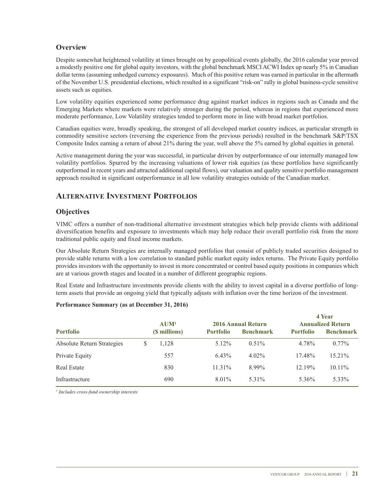# **overview**

Despite somewhat heightened volatility at times brought on by geopolitical events globally, the 2016 calendar year proved a modestly positive one for global equity investors, with the global benchmark MSCI ACWI Index up nearly 5% in Canadian dollar terms (assuming unhedged currency exposures). Much of this positive return was earned in particular in the aftermath of the november u.s. presidential elections, which resulted in a significant "risk-on" rally in global business-cycle sensitive assets such as equities.

Low volatility equities experienced some performance drag against market indices in regions such as Canada and the Emerging Markets where markets were relatively stronger during the period, whereas in regions that experienced more moderate performance, low volatility strategies tended to perform more in line with broad market portfolios.

canadian equities were, broadly speaking, the strongest of all developed market country indices, as particular strength in commodity sensitive sectors (reversing the experience from the previous periods) resulted in the benchmark S&P/TSX composite Index earning a return of about 21% during the year, well above the 5% earned by global equities in general.

Active management during the year was successful, in particular driven by outperformance of our internally managed low volatility portfolios. spurred by the increasing valuations of lower risk equities (as these portfolios have significantly outperformed in recent years and attracted additional capital flows), our valuation and quality sensitive portfolio management approach resulted in significant outperformance in all low volatility strategies outside of the canadian market.

# **alternatiVe inVestment portfolios**

### **objectives**

vIMc offers a number of non-traditional alternative investment strategies which help provide clients with additional diversification benefits and exposure to investments which may help reduce their overall portfolio risk from the more traditional public equity and fixed income markets.

our absolute return strategies are internally managed portfolios that consist of publicly traded securities designed to provide stable returns with a low correlation to standard public market equity index returns. the private equity portfolio provides investors with the opportunity to invest in more concentrated or control based equity positions in companies which are at various growth stages and located in a number of different geographic regions.

Real Estate and Infrastructure investments provide clients with the ability to invest capital in a diverse portfolio of longterm assets that provide an ongoing yield that typically adjusts with inflation over the time horizon of the investment.

#### **performance summary (as at december 31, 2016)**

|                            |    |                     |                  |                    |                  | 4 Year                   |  |
|----------------------------|----|---------------------|------------------|--------------------|------------------|--------------------------|--|
|                            |    | $A$ UM <sup>1</sup> |                  | 2016 Annual Return |                  | <b>Annualized Return</b> |  |
| <b>Portfolio</b>           |    | (\$ millions)       | <b>Portfolio</b> | <b>Benchmark</b>   | <b>Portfolio</b> | <b>Benchmark</b>         |  |
| Absolute Return Strategies | S. | 1,128               | 5.12%            | $0.51\%$           | 4.78%            | $0.77\%$                 |  |
| Private Equity             |    | 557                 | $6.43\%$         | $4.02\%$           | 17.48%           | $15.21\%$                |  |
| <b>Real Estate</b>         |    | 830                 | $11.31\%$        | 8.99%              | 12.19%           | $10.11\%$                |  |
| Infrastructure             |    | 690                 | $8.01\%$         | 5.31%              | 5.36%            | 5.33%                    |  |

*<sup>1</sup> Includes cross-fund ownership interests*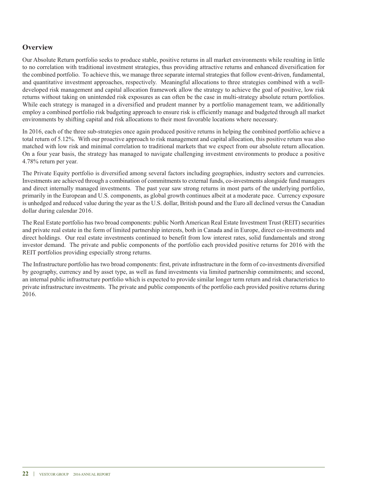# **overview**

Our Absolute Return portfolio seeks to produce stable, positive returns in all market environments while resulting in little to no correlation with traditional investment strategies, thus providing attractive returns and enhanced diversification for the combined portfolio. to achieve this, we manage three separate internal strategies that follow event-driven, fundamental, and quantitative investment approaches, respectively. Meaningful allocations to three strategies combined with a welldeveloped risk management and capital allocation framework allow the strategy to achieve the goal of positive, low risk returns without taking on unintended risk exposures as can often be the case in multi-strategy absolute return portfolios. While each strategy is managed in a diversified and prudent manner by a portfolio management team, we additionally employ a combined portfolio risk budgeting approach to ensure risk is efficiently manage and budgeted through all market environments by shifting capital and risk allocations to their most favorable locations where necessary.

In 2016, each of the three sub-strategies once again produced positive returns in helping the combined portfolio achieve a total return of 5.12%. With our proactive approach to risk management and capital allocation, this positive return was also matched with low risk and minimal correlation to traditional markets that we expect from our absolute return allocation. on a four year basis, the strategy has managed to navigate challenging investment environments to produce a positive 4.78% return per year.

the private equity portfolio is diversified among several factors including geographies, industry sectors and currencies. Investments are achieved through a combination of commitments to external funds, co-investments alongside fund managers and direct internally managed investments. The past year saw strong returns in most parts of the underlying portfolio, primarily in the European and U.S. components, as global growth continues albeit at a moderate pace. Currency exposure is unhedged and reduced value during the year as the U.S. dollar, British pound and the Euro all declined versus the Canadian dollar during calendar 2016.

The Real Estate portfolio has two broad components: public North American Real Estate Investment Trust (REIT) securities and private real estate in the form of limited partnership interests, both in canada and in europe, direct co-investments and direct holdings. Our real estate investments continued to benefit from low interest rates, solid fundamentals and strong investor demand. the private and public components of the portfolio each provided positive returns for 2016 with the REIT portfolios providing especially strong returns.

the Infrastructure portfolio has two broad components: first, private infrastructure in the form of co-investments diversified by geography, currency and by asset type, as well as fund investments via limited partnership commitments; and second, an internal public infrastructure portfolio which is expected to provide similar longer term return and risk characteristics to private infrastructure investments. the private and public components of the portfolio each provided positive returns during 2016.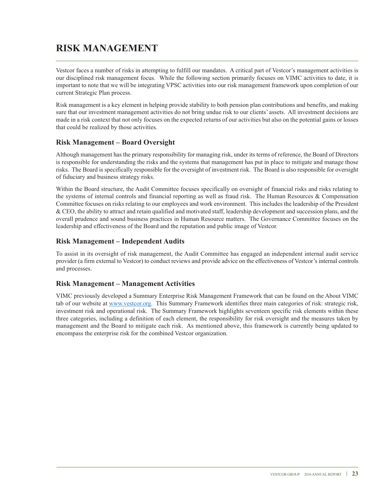# **risk management**

vestcor faces a number of risks in attempting to fulfill our mandates. a critical part of vestcor's management activities is our disciplined risk management focus. While the following section primarily focuses on vIMc activities to date, it is important to note that we will be integrating vpsc activities into our risk management framework upon completion of our current strategic plan process.

Risk management is a key element in helping provide stability to both pension plan contributions and benefits, and making sure that our investment management activities do not bring undue risk to our clients' assets. all investment decisions are made in a risk context that not only focuses on the expected returns of our activities but also on the potential gains or losses that could be realized by those activities.

### **risk management – Board oversight**

although management has the primary responsibility for managing risk, under its terms of reference, the Board of Directors is responsible for understanding the risks and the systems that management has put in place to mitigate and manage those risks. the Board is specifically responsible for the oversight of investment risk. the Board is also responsible for oversight of fiduciary and business strategy risks.

Within the Board structure, the Audit Committee focuses specifically on oversight of financial risks and risks relating to the systems of internal controls and financial reporting as well as fraud risk. The Human Resources  $\&$  Compensation committee focuses on risks relating to our employees and work environment. this includes the leadership of the president & CEO, the ability to attract and retain qualified and motivated staff, leadership development and succession plans, and the overall prudence and sound business practices in Human Resource matters. The Governance Committee focuses on the leadership and effectiveness of the Board and the reputation and public image of vestcor.

### **risk management – independent audits**

to assist in its oversight of risk management, the audit committee has engaged an independent internal audit service provider (a firm external to vestcor) to conduct reviews and provide advice on the effectiveness of vestcor's internal controls and processes.

# **risk management – management activities**

VIMC previously developed a Summary Enterprise Risk Management Framework that can be found on the About VIMC tab of our website at www.vestcor.org. This Summary Framework identifies three main categories of risk: strategic risk, investment risk and operational risk. The Summary Framework highlights seventeen specific risk elements within these three categories, including a definition of each element, the responsibility for risk oversight and the measures taken by management and the Board to mitigate each risk. as mentioned above, this framework is currently being updated to encompass the enterprise risk for the combined vestcor organization.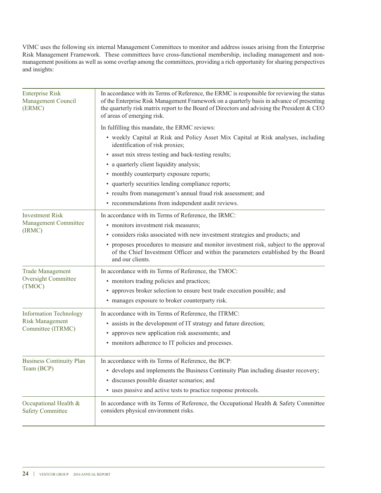vIMc uses the following six internal Management committees to monitor and address issues arising from the enterprise Risk Management Framework. These committees have cross-functional membership, including management and nonmanagement positions as well as some overlap among the committees, providing a rich opportunity for sharing perspectives and insights:

| <b>Enterprise Risk</b><br>Management Council<br>(ERMC) | In accordance with its Terms of Reference, the ERMC is responsible for reviewing the status<br>of the Enterprise Risk Management Framework on a quarterly basis in advance of presenting<br>the quarterly risk matrix report to the Board of Directors and advising the President & CEO<br>of areas of emerging risk. |  |  |  |
|--------------------------------------------------------|-----------------------------------------------------------------------------------------------------------------------------------------------------------------------------------------------------------------------------------------------------------------------------------------------------------------------|--|--|--|
|                                                        | In fulfilling this mandate, the ERMC reviews:                                                                                                                                                                                                                                                                         |  |  |  |
|                                                        | • weekly Capital at Risk and Policy Asset Mix Capital at Risk analyses, including<br>identification of risk proxies;                                                                                                                                                                                                  |  |  |  |
|                                                        | • asset mix stress testing and back-testing results;                                                                                                                                                                                                                                                                  |  |  |  |
|                                                        | • a quarterly client liquidity analysis;                                                                                                                                                                                                                                                                              |  |  |  |
|                                                        | • monthly counterparty exposure reports;                                                                                                                                                                                                                                                                              |  |  |  |
|                                                        | • quarterly securities lending compliance reports;                                                                                                                                                                                                                                                                    |  |  |  |
|                                                        | • results from management's annual fraud risk assessment; and                                                                                                                                                                                                                                                         |  |  |  |
|                                                        | • recommendations from independent audit reviews.                                                                                                                                                                                                                                                                     |  |  |  |
| <b>Investment Risk</b>                                 | In accordance with its Terms of Reference, the IRMC:                                                                                                                                                                                                                                                                  |  |  |  |
| Management Committee                                   | • monitors investment risk measures;                                                                                                                                                                                                                                                                                  |  |  |  |
| (IRMC)                                                 | • considers risks associated with new investment strategies and products; and                                                                                                                                                                                                                                         |  |  |  |
|                                                        | • proposes procedures to measure and monitor investment risk, subject to the approval<br>of the Chief Investment Officer and within the parameters established by the Board<br>and our clients.                                                                                                                       |  |  |  |
| <b>Trade Management</b>                                | In accordance with its Terms of Reference, the TMOC:                                                                                                                                                                                                                                                                  |  |  |  |
| <b>Oversight Committee</b>                             | • monitors trading policies and practices;                                                                                                                                                                                                                                                                            |  |  |  |
| (TMOC)                                                 | • approves broker selection to ensure best trade execution possible; and                                                                                                                                                                                                                                              |  |  |  |
|                                                        | • manages exposure to broker counterparty risk.                                                                                                                                                                                                                                                                       |  |  |  |
| <b>Information Technology</b>                          | In accordance with its Terms of Reference, the ITRMC:                                                                                                                                                                                                                                                                 |  |  |  |
| <b>Risk Management</b>                                 | • assists in the development of IT strategy and future direction;                                                                                                                                                                                                                                                     |  |  |  |
| Committee (ITRMC)                                      | • approves new application risk assessments; and                                                                                                                                                                                                                                                                      |  |  |  |
|                                                        | • monitors adherence to IT policies and processes.                                                                                                                                                                                                                                                                    |  |  |  |
| <b>Business Continuity Plan</b>                        | In accordance with its Terms of Reference, the BCP:                                                                                                                                                                                                                                                                   |  |  |  |
| Team (BCP)                                             | • develops and implements the Business Continuity Plan including disaster recovery;                                                                                                                                                                                                                                   |  |  |  |
|                                                        | · discusses possible disaster scenarios; and                                                                                                                                                                                                                                                                          |  |  |  |
|                                                        | • uses passive and active tests to practice response protocols.                                                                                                                                                                                                                                                       |  |  |  |
| Occupational Health &<br><b>Safety Committee</b>       | In accordance with its Terms of Reference, the Occupational Health $\&$ Safety Committee<br>considers physical environment risks.                                                                                                                                                                                     |  |  |  |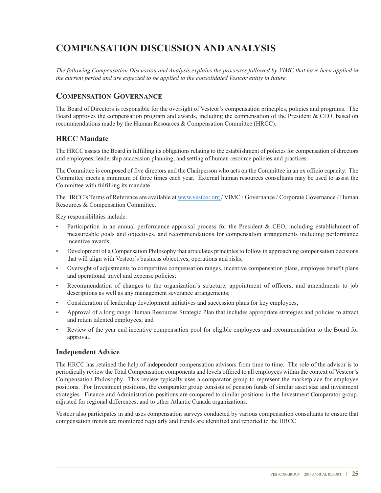# **compensation discussion and analysis**

The following Compensation Discussion and Analysis explains the processes followed by VIMC that have been applied in *the current period and are expected to be applied to the consolidated Vestcor entity in future.*

# **compensation goVernance**

The Board of Directors is responsible for the oversight of Vestcor's compensation principles, policies and programs. The Board approves the compensation program and awards, including the compensation of the President  $&$  CEO, based on recommendations made by the Human Resources & Compensation Committee (HRCC).

# **Hrcc mandate**

the Hrcc assists the Board in fulfilling its obligations relating to the establishment of policies for compensation of directors and employees, leadership succession planning, and setting of human resource policies and practices.

The Committee is composed of five directors and the Chairperson who acts on the Committee in an ex officio capacity. The Committee meets a minimum of three times each year. External human resources consultants may be used to assist the committee with fulfilling its mandate.

The HRCC's Terms of Reference are available at www.vestcor.org / VIMC / Governance / Corporate Governance / Human Resources & Compensation Committee.

Key responsibilities include:

- Participation in an annual performance appraisal process for the President  $\&$  CEO, including establishment of measureable goals and objectives, and recommendations for compensation arrangements including performance incentive awards;
- Development of a compensation philosophy that articulates principles to follow in approaching compensation decisions that will align with vestcor's business objectives, operations and risks;
- oversight of adjustments to competitive compensation ranges, incentive compensation plans, employee benefit plans and operational travel and expense policies;
- Recommendation of changes to the organization's structure, appointment of officers, and amendments to job descriptions as well as any management severance arrangements;
- consideration of leadership development initiatives and succession plans for key employees;
- Approval of a long range Human Resources Strategic Plan that includes appropriate strategies and policies to attract and retain talented employees; and
- Review of the year end incentive compensation pool for eligible employees and recommendation to the Board for approval.

#### **independent advice**

The HRCC has retained the help of independent compensation advisors from time to time. The role of the advisor is to periodically review the total compensation components and levels offered to all employees within the context of vestcor's Compensation Philosophy. This review typically uses a comparator group to represent the marketplace for employee positions. For Investment positions, the comparator group consists of pension funds of similar asset size and investment strategies. Finance and Administration positions are compared to similar positions in the Investment Comparator group, adjusted for regional differences, and to other Atlantic Canada organizations.

vestcor also participates in and uses compensation surveys conducted by various compensation consultants to ensure that compensation trends are monitored regularly and trends are identified and reported to the Hrcc.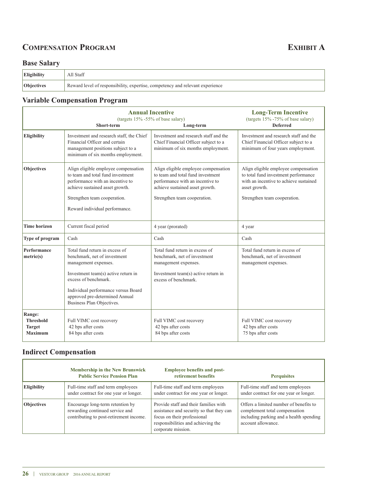# **compensation Program exHiBIT A**

# **Base salary**

| Eligibility              | All Staff                                                                     |
|--------------------------|-------------------------------------------------------------------------------|
| <i><b>Objectives</b></i> | Reward level of responsibility, expertise, competency and relevant experience |

# **Variable compensation program**

|                                                               | <b>Annual Incentive</b><br>(targets $15\%$ -55% of base salary)<br>Short-term                                                                                                                                                                                             | <b>Long-Term Incentive</b><br>(targets 15% -75% of base salary)<br><b>Deferred</b>                                                                                               |                                                                                                                                                                         |
|---------------------------------------------------------------|---------------------------------------------------------------------------------------------------------------------------------------------------------------------------------------------------------------------------------------------------------------------------|----------------------------------------------------------------------------------------------------------------------------------------------------------------------------------|-------------------------------------------------------------------------------------------------------------------------------------------------------------------------|
| Eligibility                                                   | Investment and research staff, the Chief<br>Investment and research staff and the<br>Financial Officer and certain<br>Chief Financial Officer subject to a<br>management positions subject to a<br>minimum of six months employment.<br>minimum of six months employment. |                                                                                                                                                                                  | Investment and research staff and the<br>Chief Financial Officer subject to a<br>minimum of four years employment.                                                      |
| Objectives                                                    | Align eligible employee compensation<br>to team and total fund investment<br>performance with an incentive to<br>achieve sustained asset growth.<br>Strengthen team cooperation.<br>Reward individual performance.                                                        | Align eligible employee compensation<br>to team and total fund investment<br>performance with an incentive to<br>achieve sustained asset growth.<br>Strengthen team cooperation. | Align eligible employee compensation<br>to total fund investment performance<br>with an incentive to achieve sustained<br>asset growth.<br>Strengthen team cooperation. |
| <b>Time horizon</b>                                           | Current fiscal period                                                                                                                                                                                                                                                     | 4 year (prorated)                                                                                                                                                                | 4 year                                                                                                                                                                  |
| Type of program                                               | Cash                                                                                                                                                                                                                                                                      | Cash                                                                                                                                                                             | Cash                                                                                                                                                                    |
| Performance<br>metric(s)                                      | Total fund return in excess of<br>benchmark, net of investment<br>management expenses.<br>Investment team(s) active return in<br>excess of benchmark.<br>Individual performance versus Board<br>approved pre-determined Annual<br>Business Plan Objectives.               | Total fund return in excess of<br>benchmark, net of investment<br>management expenses.<br>Investment team(s) active return in<br>excess of benchmark.                            | Total fund return in excess of<br>benchmark, net of investment<br>management expenses.                                                                                  |
| Range:<br><b>Threshold</b><br><b>Target</b><br><b>Maximum</b> | Full VIMC cost recovery<br>42 bps after costs<br>84 bps after costs                                                                                                                                                                                                       | Full VIMC cost recovery<br>42 bps after costs<br>84 bps after costs                                                                                                              | Full VIMC cost recovery<br>42 bps after costs<br>75 bps after costs                                                                                                     |

# **indirect compensation**

r

|                    | <b>Membership in the New Brunswick</b><br><b>Public Service Pension Plan</b>                                   | <b>Employee benefits and post-</b><br>retirement benefits                                                                                                                    | <b>Perquisites</b>                                                                                                                       |
|--------------------|----------------------------------------------------------------------------------------------------------------|------------------------------------------------------------------------------------------------------------------------------------------------------------------------------|------------------------------------------------------------------------------------------------------------------------------------------|
| <b>Eligibility</b> | Full-time staff and term employees<br>under contract for one year or longer.                                   | Full-time staff and term employees<br>under contract for one year or longer.                                                                                                 | Full-time staff and term employees<br>under contract for one year or longer.                                                             |
| <b>Objectives</b>  | Encourage long-term retention by<br>rewarding continued service and<br>contributing to post-retirement income. | Provide staff and their families with<br>assistance and security so that they can<br>focus on their professional<br>responsibilities and achieving the<br>corporate mission. | Offers a limited number of benefits to<br>complement total compensation<br>including parking and a health spending<br>account allowance. |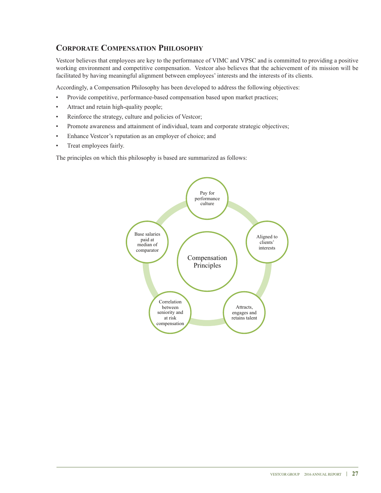# **corporate compensation pHilosopHy**

vestcor believes that employees are key to the performance of vIMc and vpsc and is committed to providing a positive working environment and competitive compensation. Vestcor also believes that the achievement of its mission will be facilitated by having meaningful alignment between employees' interests and the interests of its clients.

accordingly, a compensation philosophy has been developed to address the following objectives:

- provide competitive, performance-based compensation based upon market practices;
- Attract and retain high-quality people;
- Reinforce the strategy, culture and policies of Vestcor;
- Promote awareness and attainment of individual, team and corporate strategic objectives;
- Enhance Vestcor's reputation as an employer of choice; and
- Treat employees fairly.

The principles on which this philosophy is based are summarized as follows:

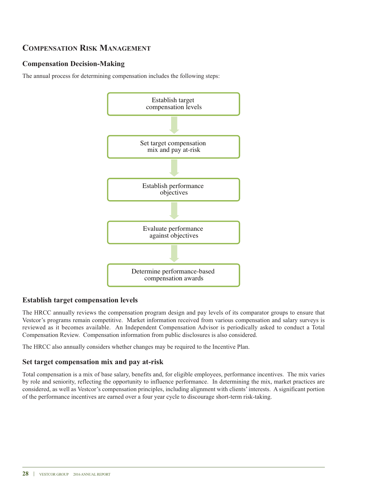# **compensation risk management**

# **Compensation Decision-Making**

The annual process for determining compensation includes the following steps:



# **establish target compensation levels**

The HRCC annually reviews the compensation program design and pay levels of its comparator groups to ensure that vestcor's programs remain competitive. Market information received from various compensation and salary surveys is reviewed as it becomes available. an Independent compensation advisor is periodically asked to conduct a total compensation review. compensation information from public disclosures is also considered.

The HRCC also annually considers whether changes may be required to the Incentive Plan.

# **set target compensation mix and pay at-risk**

Total compensation is a mix of base salary, benefits and, for eligible employees, performance incentives. The mix varies by role and seniority, reflecting the opportunity to influence performance. In determining the mix, market practices are considered, as well as vestcor's compensation principles, including alignment with clients'interests. a significant portion of the performance incentives are earned over a four year cycle to discourage short-term risk-taking.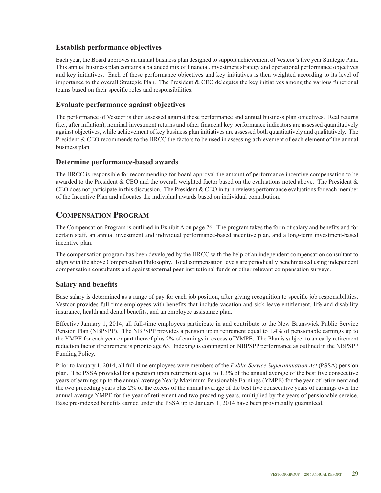# **establish performance objectives**

Each year, the Board approves an annual business plan designed to support achievement of Vestcor's five year Strategic Plan. this annual business plan contains a balanced mix of financial, investment strategy and operational performance objectives and key initiatives. Each of these performance objectives and key initiatives is then weighted according to its level of importance to the overall Strategic Plan. The President  $&$  CEO delegates the key initiatives among the various functional teams based on their specific roles and responsibilities.

### **evaluate performance against objectives**

The performance of Vestcor is then assessed against these performance and annual business plan objectives. Real returns (i.e., after inflation), nominal investment returns and other financial key performance indicators are assessed quantitatively against objectives, while achievement of key business plan initiatives are assessed both quantitatively and qualitatively. the President  $&$  CEO recommends to the HRCC the factors to be used in assessing achievement of each element of the annual business plan.

#### **determine performance-based awards**

The HRCC is responsible for recommending for board approval the amount of performance incentive compensation to be awarded to the President & CEO and the overall weighted factor based on the evaluations noted above. The President  $\&$ CEO does not participate in this discussion. The President & CEO in turn reviews performance evaluations for each member of the Incentive plan and allocates the individual awards based on individual contribution.

# **compensation program**

The Compensation Program is outlined in Exhibit A on page 26. The program takes the form of salary and benefits and for certain staff, an annual investment and individual performance-based incentive plan, and a long-term investment-based incentive plan.

the compensation program has been developed by the Hrcc with the help of an independent compensation consultant to align with the above compensation philosophy. total compensation levels are periodically benchmarked using independent compensation consultants and against external peer institutional funds or other relevant compensation surveys.

# **salary and benefits**

Base salary is determined as a range of pay for each job position, after giving recognition to specific job responsibilities. vestcor provides full-time employees with benefits that include vacation and sick leave entitlement, life and disability insurance, health and dental benefits, and an employee assistance plan.

effective January 1, 2014, all full-time employees participate in and contribute to the new Brunswick public service Pension Plan (NBPSPP). The NBPSPP provides a pension upon retirement equal to 1.4% of pensionable earnings up to the YMPE for each year or part thereof plus 2% of earnings in excess of YMPE. The Plan is subject to an early retirement reduction factor if retirement is prior to age 65. Indexing is contingent on NBPSPP performance as outlined in the NBPSPP Funding policy.

prior to January 1, 2014, all full-time employees were members of the *Public Service Superannuation Act* (pssa) pension plan. the pssa provided for a pension upon retirement equal to 1.3% of the annual average of the best five consecutive years of earnings up to the annual average Yearly Maximum pensionable earnings (YMpe) for the year of retirement and the two preceding years plus 2% of the excess of the annual average of the best five consecutive years of earnings over the annual average YMpe for the year of retirement and two preceding years, multiplied by the years of pensionable service. Base pre-indexed benefits earned under the pssa up to January 1, 2014 have been provincially guaranteed.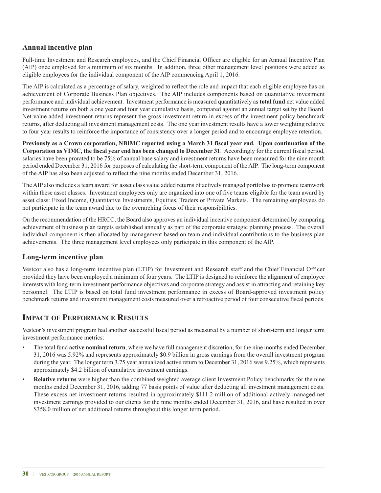### **annual incentive plan**

Full-time Investment and Research employees, and the Chief Financial Officer are eligible for an Annual Incentive Plan (aIp) once employed for a minimum of six months. In addition, three other management level positions were added as eligible employees for the individual component of the aIp commencing april 1, 2016.

The AIP is calculated as a percentage of salary, weighted to reflect the role and impact that each eligible employee has on achievement of corporate Business plan objectives. the aIp includes components based on quantitative investment performance and individual achievement. Investment performance is measured quantitatively as **total fund** net value added investment returns on both a one year and four year cumulative basis, compared against an annual target set by the Board. Net value added investment returns represent the gross investment return in excess of the investment policy benchmark returns, after deducting all investment management costs. the one year investment results have a lower weighting relative to four year results to reinforce the importance of consistency over a longer period and to encourage employee retention.

Previously as a Crown corporation, NBIMC reported using a March 31 fiscal year end. Upon continuation of the **corporation as Vimc, the fiscal year end has been changed to december 31**. accordingly for the current fiscal period, salaries have been prorated to be 75% of annual base salary and investment returns have been measured for the nine month period ended December 31, 2016 for purposes of calculating the short-term component of the aIp. the long-term component of the aIp has also been adjusted to reflect the nine months ended December 31, 2016.

The AIP also includes a team award for asset class value added returns of actively managed portfolios to promote teamwork within these asset classes. Investment employees only are organized into one of five teams eligible for the team award by asset class: Fixed Income, Quantitative Investments, equities, traders or private Markets. the remaining employees do not participate in the team award due to the overarching focus of their responsibilities.

on the recommendation of the Hrcc, the Board also approves an individual incentive component determined by comparing achievement of business plan targets established annually as part of the corporate strategic planning process. the overall individual component is then allocated by management based on team and individual contributions to the business plan achievements. the three management level employees only participate in this component of the aIp.

#### **long-term incentive plan**

Vestcor also has a long-term incentive plan (LTIP) for Investment and Research staff and the Chief Financial Officer provided they have been employed a minimum of four years. The LTIP is designed to reinforce the alignment of employee interests with long-term investment performance objectives and corporate strategy and assist in attracting and retaining key personnel. the ltIp is based on total fund investment performance in excess of Board-approved investment policy benchmark returns and investment management costs measured over a retroactive period of four consecutive fiscal periods.

# **impact of performance results**

vestcor's investment program had another successful fiscal period as measured by a number of short-term and longer term investment performance metrics:

- the total fund **active nominal return**, where we have full management discretion, for the nine months ended December 31, 2016 was 5.92% and represents approximately \$0.9 billion in gross earnings from the overall investment program during the year. The longer term 3.75 year annualized active return to December 31, 2016 was 9.25%, which represents approximately \$4.2 billion of cumulative investment earnings.
- **relative returns** were higher than the combined weighted average client Investment policy benchmarks for the nine months ended December 31, 2016, adding 77 basis points of value after deducting all investment management costs. these excess net investment returns resulted in approximately \$111.2 million of additional actively-managed net investment earnings provided to our clients for the nine months ended December 31, 2016, and have resulted in over \$358.0 million of net additional returns throughout this longer term period.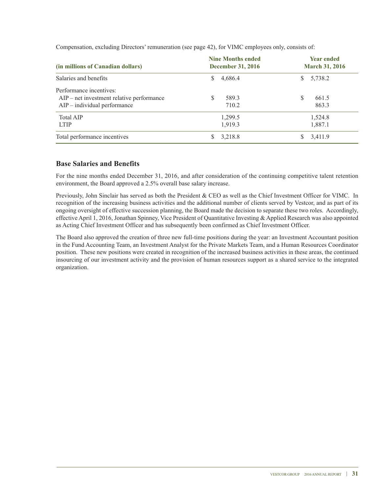| (in millions of Canadian dollars)           | <b>Nine Months ended</b><br><b>December 31, 2016</b> | <b>Year ended</b><br><b>March 31, 2016</b> |  |
|---------------------------------------------|------------------------------------------------------|--------------------------------------------|--|
| Salaries and benefits                       | 4,686.4<br>S.                                        | 5,738.2<br>S.                              |  |
| Performance incentives:                     |                                                      |                                            |  |
| $AIP$ – net investment relative performance | 589.3                                                | 661.5                                      |  |
| $AIP$ – individual performance              | 710.2                                                | 863.3                                      |  |
| <b>Total AIP</b>                            | 1,299.5                                              | 1,524.8                                    |  |
| <b>LTIP</b>                                 | 1,919.3                                              | 1,887.1                                    |  |
| Total performance incentives                | 3,218.8                                              | 3,411.9                                    |  |

compensation, excluding Directors' remuneration (see page 42), for vIMc employees only, consists of:

### **Base salaries and Benefits**

For the nine months ended December 31, 2016, and after consideration of the continuing competitive talent retention environment, the Board approved a 2.5% overall base salary increase.

Previously, John Sinclair has served as both the President & CEO as well as the Chief Investment Officer for VIMC. In recognition of the increasing business activities and the additional number of clients served by vestcor, and as part of its ongoing oversight of effective succession planning, the Board made the decision to separate these two roles. accordingly, effective April 1, 2016, Jonathan Spinney, Vice President of Quantitative Investing & Applied Research was also appointed as acting chief Investment officer and has subsequently been confirmed as chief Investment officer.

The Board also approved the creation of three new full-time positions during the year: an Investment Accountant position in the Fund Accounting Team, an Investment Analyst for the Private Markets Team, and a Human Resources Coordinator position. these new positions were created in recognition of the increased business activities in these areas, the continued insourcing of our investment activity and the provision of human resources support as a shared service to the integrated organization.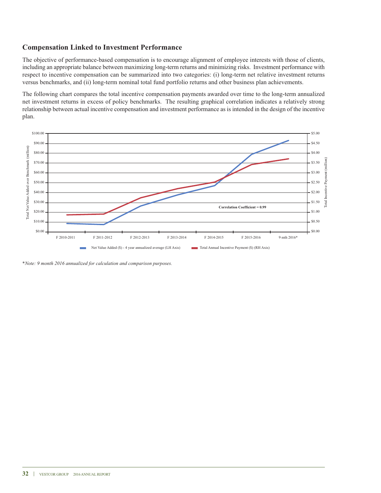# **compensation linked to investment performance**

The objective of performance-based compensation is to encourage alignment of employee interests with those of clients, including an appropriate balance between maximizing long-term returns and minimizing risks. Investment performance with respect to incentive compensation can be summarized into two categories: (i) long-term net relative investment returns versus benchmarks, and (ii) long-term nominal total fund portfolio returns and other business plan achievements.

The following chart compares the total incentive compensation payments awarded over time to the long-term annualized net investment returns in excess of policy benchmarks. the resulting graphical correlation indicates a relatively strong relationship between actual incentive compensation and investment performance as is intended in the design of the incentive plan.



*\*Note: 9 month 2016 annualized for calculation and comparison purposes.*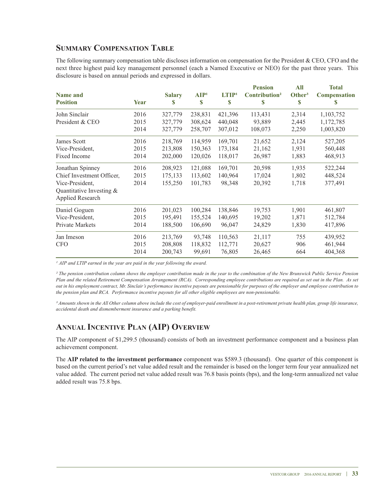# **SUMMARY COMPENSATION TABLE**

The following summary compensation table discloses information on compensation for the President  $\&$  CEO, CFO and the next three highest paid key management personnel (each a Named Executive or NEO) for the past three years. This disclosure is based on annual periods and expressed in dollars.

|                           |      |               |                  |                   | <b>Pension</b>            | All                | <b>Total</b>        |
|---------------------------|------|---------------|------------------|-------------------|---------------------------|--------------------|---------------------|
| <b>Name and</b>           |      | <b>Salary</b> | $\mathbf{AIP}^1$ | LTIP <sup>1</sup> | Contribution <sup>2</sup> | Other <sup>3</sup> | <b>Compensation</b> |
| <b>Position</b>           | Year | \$            | \$               | S                 | \$                        | \$                 | S                   |
| John Sinclair             | 2016 | 327,779       | 238,831          | 421,396           | 113,431                   | 2,314              | 1,103,752           |
| President & CEO           | 2015 | 327,779       | 308,624          | 440,048           | 93,889                    | 2,445              | 1,172,785           |
|                           | 2014 | 327,779       | 258,707          | 307,012           | 108,073                   | 2,250              | 1,003,820           |
| James Scott               | 2016 | 218,769       | 114,959          | 169,701           | 21,652                    | 2,124              | 527,205             |
| Vice-President,           | 2015 | 213,808       | 150,363          | 173,184           | 21,162                    | 1,931              | 560,448             |
| Fixed Income              | 2014 | 202,000       | 120,026          | 118,017           | 26,987                    | 1,883              | 468,913             |
| Jonathan Spinney          | 2016 | 208,923       | 121,088          | 169,701           | 20,598                    | 1,935              | 522,244             |
| Chief Investment Officer, | 2015 | 175,133       | 113,602          | 140,964           | 17,024                    | 1,802              | 448,524             |
| Vice-President,           | 2014 | 155,250       | 101,783          | 98,348            | 20,392                    | 1,718              | 377,491             |
| Quantitative Investing &  |      |               |                  |                   |                           |                    |                     |
| Applied Research          |      |               |                  |                   |                           |                    |                     |
| Daniel Goguen             | 2016 | 201,023       | 100,284          | 138,846           | 19,753                    | 1,901              | 461,807             |
| Vice-President,           | 2015 | 195,491       | 155,524          | 140,695           | 19,202                    | 1,871              | 512,784             |
| <b>Private Markets</b>    | 2014 | 188,500       | 106,690          | 96,047            | 24,829                    | 1,830              | 417,896             |
| Jan Imeson                | 2016 | 213,769       | 93,748           | 110,563           | 21,117                    | 755                | 439,952             |
| <b>CFO</b>                | 2015 | 208,808       | 118,832          | 112,771           | 20,627                    | 906                | 461,944             |
|                           | 2014 | 200,743       | 99,691           | 76,805            | 26,465                    | 664                | 404,368             |

*¹ AIP and LTIP earned in the year are paid in the year following the award.*

<sup>2</sup> The pension contribution column shows the employer contribution made in the year to the combination of the New Brunswick Public Service Pension Plan and the related Retirement Compensation Arrangement (RCA). Corresponding employee contributions are required as set out in the Plan. As set out in his employment contract, Mr. Sinclair's performance incentive payouts are pensionable for purposes of the employer and employee contribution to *the pension plan and RCA. Performance incentive payouts for all other eligible employees are non-pensionable.*

<sup>3</sup> Amounts shown in the All Other column above include the cost of employer-paid enrollment in a post-retirement private health plan, group life insurance, *accidental death and dismemberment insurance and a parking benefit.*

# **annual incentiVe plan (aip) oVerVieW**

The AIP component of \$1,299.5 (thousand) consists of both an investment performance component and a business plan achievement component.

the **aip related to the investment performance** component was \$589.3 (thousand). one quarter of this component is based on the current period's net value added result and the remainder is based on the longer term four year annualized net value added. the current period net value added result was 76.8 basis points (bps), and the long-term annualized net value added result was 75.8 bps.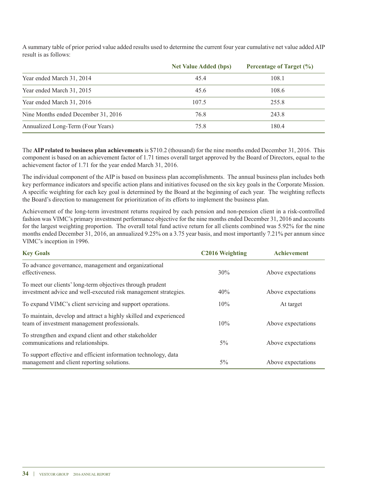a summary table of prior period value added results used to determine the current four year cumulative net value added aIp result is as follows:

|                                     | <b>Net Value Added (bps)</b> | <b>Percentage of Target (%)</b> |
|-------------------------------------|------------------------------|---------------------------------|
| Year ended March 31, 2014           | 45.4                         | 108.1                           |
| Year ended March 31, 2015           | 45.6                         | 108.6                           |
| Year ended March 31, 2016           | 107.5                        | 255.8                           |
| Nine Months ended December 31, 2016 | 76.8                         | 243.8                           |
| Annualized Long-Term (Four Years)   | 75.8                         | 180.4                           |

the **aip related to business plan achievements** is \$710.2 (thousand) for the nine months ended December 31, 2016. this component is based on an achievement factor of 1.71 times overall target approved by the Board of Directors, equal to the achievement factor of 1.71 for the year ended March 31, 2016.

The individual component of the AIP is based on business plan accomplishments. The annual business plan includes both key performance indicators and specific action plans and initiatives focused on the six key goals in the corporate Mission. a specific weighting for each key goal is determined by the Board at the beginning of each year. the weighting reflects the Board's direction to management for prioritization of its efforts to implement the business plan.

achievement of the long-term investment returns required by each pension and non-pension client in a risk-controlled fashion was vIMc's primary investment performance objective for the nine months ended December 31, 2016 and accounts for the largest weighting proportion. The overall total fund active return for all clients combined was 5.92% for the nine months ended December 31, 2016, an annualized 9.25% on a 3.75 year basis, and most importantly 7.21% per annum since vIMc's inception in 1996.

| <b>Key Goals</b>                                                                                                             | <b>C2016 Weighting</b> | <b>Achievement</b> |
|------------------------------------------------------------------------------------------------------------------------------|------------------------|--------------------|
| To advance governance, management and organizational<br>effectiveness.                                                       | 30%                    | Above expectations |
| To meet our clients' long-term objectives through prudent<br>investment advice and well-executed risk management strategies. | 40%                    | Above expectations |
| To expand VIMC's client servicing and support operations.                                                                    | $10\%$                 | At target          |
| To maintain, develop and attract a highly skilled and experienced<br>team of investment management professionals.            | 10%                    | Above expectations |
| To strengthen and expand client and other stakeholder<br>communications and relationships.                                   | $5\%$                  | Above expectations |
| To support effective and efficient information technology, data<br>management and client reporting solutions.                | $5\%$                  | Above expectations |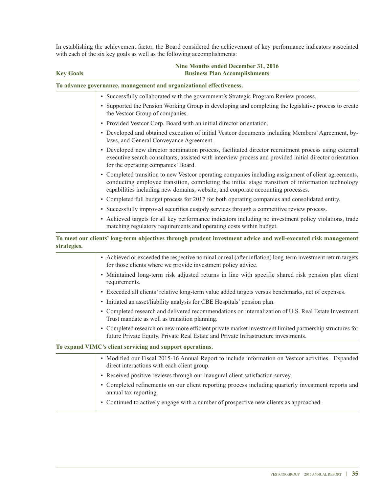In establishing the achievement factor, the Board considered the achievement of key performance indicators associated with each of the six key goals as well as the following accomplishments:

|                  | Nine Months ended December 31, 2016  |
|------------------|--------------------------------------|
| <b>Key Goals</b> | <b>Business Plan Accomplishments</b> |

|             | To advance governance, management and organizational effectiveness.                                                                                                                                                                                                                           |
|-------------|-----------------------------------------------------------------------------------------------------------------------------------------------------------------------------------------------------------------------------------------------------------------------------------------------|
|             | • Successfully collaborated with the government's Strategic Program Review process.                                                                                                                                                                                                           |
|             | • Supported the Pension Working Group in developing and completing the legislative process to create<br>the Vestcor Group of companies.                                                                                                                                                       |
|             | • Provided Vestcor Corp. Board with an initial director orientation.                                                                                                                                                                                                                          |
|             | • Developed and obtained execution of initial Vestcor documents including Members' Agreement, by-<br>laws, and General Conveyance Agreement.                                                                                                                                                  |
|             | • Developed new director nomination process, facilitated director recruitment process using external<br>executive search consultants, assisted with interview process and provided initial director orientation<br>for the operating companies' Board.                                        |
|             | • Completed transition to new Vestcor operating companies including assignment of client agreements,<br>conducting employee transition, completing the initial stage transition of information technology<br>capabilities including new domains, website, and corporate accounting processes. |
|             | • Completed full budget process for 2017 for both operating companies and consolidated entity.                                                                                                                                                                                                |
|             | • Successfully improved securities custody services through a competitive review process.                                                                                                                                                                                                     |
|             | • Achieved targets for all key performance indicators including no investment policy violations, trade<br>matching regulatory requirements and operating costs within budget.                                                                                                                 |
| strategies. | To meet our clients' long-term objectives through prudent investment advice and well-executed risk management                                                                                                                                                                                 |
|             | • Achieved or exceeded the respective nominal or real (after inflation) long-term investment return targets<br>for those clients where we provide investment policy advice.                                                                                                                   |
|             | • Maintained long-term risk adjusted returns in line with specific shared risk pension plan client<br>requirements.                                                                                                                                                                           |
|             | • Exceeded all clients' relative long-term value added targets versus benchmarks, net of expenses.                                                                                                                                                                                            |
|             | • Initiated an asset/liability analysis for CBE Hospitals' pension plan.                                                                                                                                                                                                                      |
|             | • Completed research and delivered recommendations on internalization of U.S. Real Estate Investment<br>Trust mandate as well as transition planning.                                                                                                                                         |
|             | • Completed research on new more efficient private market investment limited partnership structures for<br>future Private Equity, Private Real Estate and Private Infrastructure investments.                                                                                                 |
|             | To expand VIMC's client servicing and support operations.                                                                                                                                                                                                                                     |
|             | • Modified our Fiscal 2015-16 Annual Report to include information on Vestcor activities. Expanded<br>direct interactions with each client group.                                                                                                                                             |
|             | • Received positive reviews through our inaugural client satisfaction survey.                                                                                                                                                                                                                 |
|             | • Completed refinements on our client reporting process including quarterly investment reports and<br>annual tax reporting.                                                                                                                                                                   |
|             | • Continued to actively engage with a number of prospective new clients as approached.                                                                                                                                                                                                        |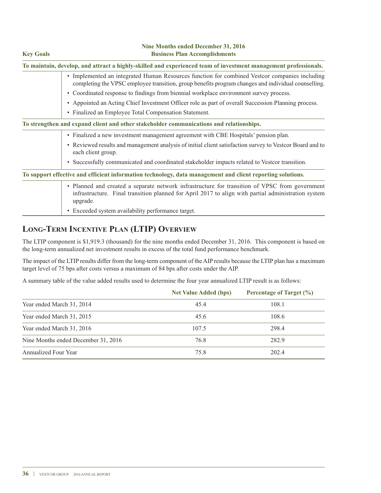| <b>Key Goals</b> | Nine Months ended December 31, 2016<br><b>Business Plan Accomplishments</b>                                                                                                                                       |
|------------------|-------------------------------------------------------------------------------------------------------------------------------------------------------------------------------------------------------------------|
|                  | To maintain, develop, and attract a highly-skilled and experienced team of investment management professionals.                                                                                                   |
|                  | • Implemented an integrated Human Resources function for combined Vestcor companies including<br>completing the VPSC employee transition, group benefits program changes and individual counselling.              |
|                  | • Coordinated response to findings from biennial workplace environment survey process.                                                                                                                            |
|                  | • Appointed an Acting Chief Investment Officer role as part of overall Succession Planning process.                                                                                                               |
|                  | • Finalized an Employee Total Compensation Statement.                                                                                                                                                             |
|                  | To strengthen and expand client and other stakeholder communications and relationships.                                                                                                                           |
|                  | • Finalized a new investment management agreement with CBE Hospitals' pension plan.                                                                                                                               |
|                  | • Reviewed results and management analysis of initial client satisfaction survey to Vestcor Board and to<br>each client group.                                                                                    |
|                  | • Successfully communicated and coordinated stakeholder impacts related to Vestcor transition.                                                                                                                    |
|                  | To support effective and efficient information technology, data management and client reporting solutions.                                                                                                        |
|                  | • Planned and created a separate network infrastructure for transition of VPSC from government<br>infrastructure. Final transition planned for April 2017 to align with partial administration system<br>upgrade. |
|                  | • Exceeded system availability performance target.                                                                                                                                                                |

# **long-term incentiVe plan (ltip) oVerVieW**

The LTIP component is \$1,919.3 (thousand) for the nine months ended December 31, 2016. This component is based on the long-term annualized net investment results in excess of the total fund performance benchmark.

The impact of the LTIP results differ from the long-term component of the AIP results because the LTIP plan has a maximum target level of 75 bps after costs versus a maximum of 84 bps after costs under the aIp.

A summary table of the value added results used to determine the four year annualized LTIP result is as follows:

|                                     | <b>Net Value Added (bps)</b> | Percentage of Target (%) |
|-------------------------------------|------------------------------|--------------------------|
| Year ended March 31, 2014           | 45.4                         | 108.1                    |
| Year ended March 31, 2015           | 45.6                         | 108.6                    |
| Year ended March 31, 2016           | 107.5                        | 298.4                    |
| Nine Months ended December 31, 2016 | 76.8                         | 282.9                    |
| <b>Annualized Four Year</b>         | 75.8                         | 202.4                    |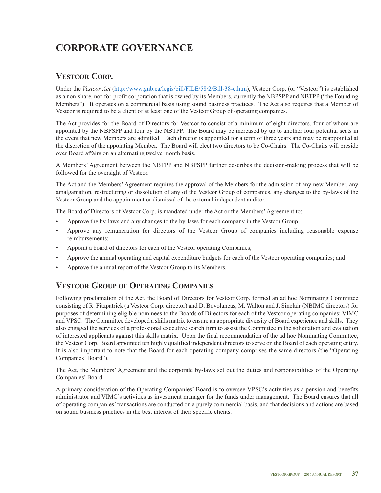# **corporate goVernance**

# **Vestcor corp.**

Under the *Vestcor Act* (http://www.gnb.ca/legis/bill/FILE/58/2/Bill-38-e.htm), Vestcor Corp. (or "Vestcor") is established as a non-share, not-for-profit corporation that is owned by its Members, currently the NBPSPP and NBTPP ("the Founding Members"). It operates on a commercial basis using sound business practices. The Act also requires that a Member of vestcor is required to be a client of at least one of the vestcor group of operating companies.

The Act provides for the Board of Directors for Vestcor to consist of a minimum of eight directors, four of whom are appointed by the NBPSPP and four by the NBTPP. The Board may be increased by up to another four potential seats in the event that new Members are admitted. Each director is appointed for a term of three years and may be reappointed at the discretion of the appointing Member. The Board will elect two directors to be Co-Chairs. The Co-Chairs will preside over Board affairs on an alternating twelve month basis.

A Members' Agreement between the NBTPP and NBPSPP further describes the decision-making process that will be followed for the oversight of vestcor.

The Act and the Members' Agreement requires the approval of the Members for the admission of any new Member, any amalgamation, restructuring or dissolution of any of the vestcor group of companies, any changes to the by-laws of the vestcor group and the appointment or dismissal of the external independent auditor.

The Board of Directors of Vestcor Corp. is mandated under the Act or the Members' Agreement to:

- Approve the by-laws and any changes to the by-laws for each company in the Vestcor Group;
- Approve any remuneration for directors of the Vestcor Group of companies including reasonable expense reimbursements;
- Appoint a board of directors for each of the Vestcor operating Companies;
- approve the annual operating and capital expenditure budgets for each of the vestcor operating companies; and
- Approve the annual report of the Vestcor Group to its Members.

# **Vestcor group of operating companies**

Following proclamation of the Act, the Board of Directors for Vestcor Corp. formed an ad hoc Nominating Committee consisting of R. Fitzpatrick (a Vestcor Corp. director) and D. Bovolaneas, M. Walton and J. Sinclair (NBIMC directors) for purposes of determining eligible nominees to the Boards of Directors for each of the vestcor operating companies: vIMc and VPSC. The Committee developed a skills matrix to ensure an appropriate diversity of Board experience and skills. They also engaged the services of a professional executive search firm to assist the committee in the solicitation and evaluation of interested applicants against this skills matrix. Upon the final recommendation of the ad hoc Nominating Committee, the vestcor corp. Board appointed ten highly qualified independent directors to serve on the Board of each operating entity. It is also important to note that the Board for each operating company comprises the same directors (the "operating companies' Board").

The Act, the Members' Agreement and the corporate by-laws set out the duties and responsibilities of the Operating companies' Board.

a primary consideration of the operating companies' Board is to oversee vpsc's activities as a pension and benefits administrator and vIMc's activities as investment manager for the funds under management. the Board ensures that all of operating companies'transactions are conducted on a purely commercial basis, and that decisions and actions are based on sound business practices in the best interest of their specific clients.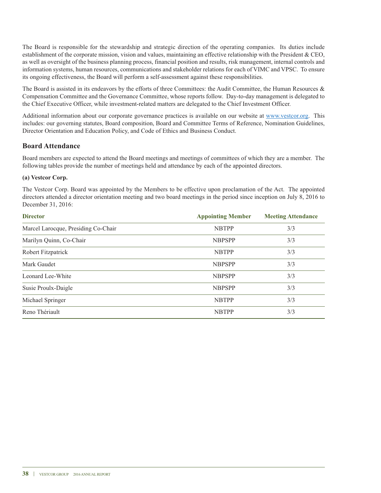The Board is responsible for the stewardship and strategic direction of the operating companies. Its duties include establishment of the corporate mission, vision and values, maintaining an effective relationship with the President  $&$  CEO, as well as oversight of the business planning process, financial position and results, risk management, internal controls and information systems, human resources, communications and stakeholder relations for each of vIMc and vpsc. to ensure its ongoing effectiveness, the Board will perform a self-assessment against these responsibilities.

The Board is assisted in its endeavors by the efforts of three Committees: the Audit Committee, the Human Resources  $\&$ compensation committee and the governance committee, whose reports follow. Day-to-day management is delegated to the Chief Executive Officer, while investment-related matters are delegated to the Chief Investment Officer.

Additional information about our corporate governance practices is available on our website at www.vestcor.org. This includes: our governing statutes, Board composition, Board and Committee Terms of Reference, Nomination Guidelines, Director Orientation and Education Policy, and Code of Ethics and Business Conduct.

#### **Board attendance**

Board members are expected to attend the Board meetings and meetings of committees of which they are a member. the following tables provide the number of meetings held and attendance by each of the appointed directors.

#### **(a) Vestcor corp.**

The Vestcor Corp. Board was appointed by the Members to be effective upon proclamation of the Act. The appointed directors attended a director orientation meeting and two board meetings in the period since inception on July 8, 2016 to December 31, 2016:

| <b>Director</b>                     | <b>Appointing Member</b> | <b>Meeting Attendance</b> |
|-------------------------------------|--------------------------|---------------------------|
| Marcel Larocque, Presiding Co-Chair | <b>NBTPP</b>             | 3/3                       |
| Marilyn Quinn, Co-Chair             | <b>NBPSPP</b>            | 3/3                       |
| Robert Fitzpatrick                  | <b>NBTPP</b>             | 3/3                       |
| Mark Gaudet                         | <b>NBPSPP</b>            | 3/3                       |
| Leonard Lee-White                   | <b>NBPSPP</b>            | 3/3                       |
| Susie Proulx-Daigle                 | <b>NBPSPP</b>            | 3/3                       |
| Michael Springer                    | <b>NBTPP</b>             | 3/3                       |
| Reno Thériault                      | <b>NBTPP</b>             | 3/3                       |
|                                     |                          |                           |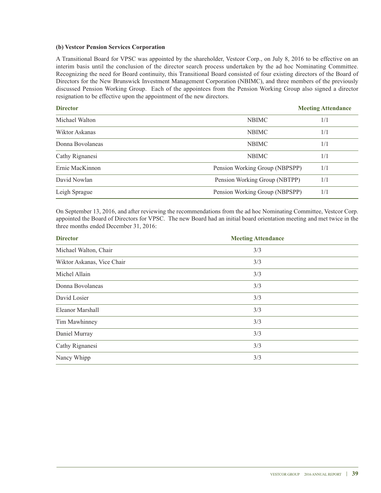#### **(b) Vestcor pension services corporation**

A Transitional Board for VPSC was appointed by the shareholder, Vestcor Corp., on July 8, 2016 to be effective on an interim basis until the conclusion of the director search process undertaken by the ad hoc Nominating Committee. Recognizing the need for Board continuity, this Transitional Board consisted of four existing directors of the Board of Directors for the new Brunswick Investment Management corporation (nBIMc), and three members of the previously discussed Pension Working Group. Each of the appointees from the Pension Working Group also signed a director resignation to be effective upon the appointment of the new directors.

| <b>Director</b>  |                                | <b>Meeting Attendance</b> |
|------------------|--------------------------------|---------------------------|
| Michael Walton   | <b>NBIMC</b>                   | 1/1                       |
| Wiktor Askanas   | <b>NBIMC</b>                   | 1/1                       |
| Donna Bovolaneas | <b>NBIMC</b>                   | 1/1                       |
| Cathy Rignanesi  | <b>NBIMC</b>                   | 1/1                       |
| Ernie MacKinnon  | Pension Working Group (NBPSPP) | 1/1                       |
| David Nowlan     | Pension Working Group (NBTPP)  | 1/1                       |
| Leigh Sprague    | Pension Working Group (NBPSPP) | 1/1                       |

On September 13, 2016, and after reviewing the recommendations from the ad hoc Nominating Committee, Vestcor Corp. appointed the Board of Directors for VPSC. The new Board had an initial board orientation meeting and met twice in the three months ended December 31, 2016:

| <b>Director</b>            | <b>Meeting Attendance</b> |  |
|----------------------------|---------------------------|--|
| Michael Walton, Chair      | 3/3                       |  |
| Wiktor Askanas, Vice Chair | 3/3                       |  |
| Michel Allain              | 3/3                       |  |
| Donna Bovolaneas           | 3/3                       |  |
| David Losier               | 3/3                       |  |
| Eleanor Marshall           | 3/3                       |  |
| Tim Mawhinney              | 3/3                       |  |
| Daniel Murray              | 3/3                       |  |
| Cathy Rignanesi            | 3/3                       |  |
| Nancy Whipp                | 3/3                       |  |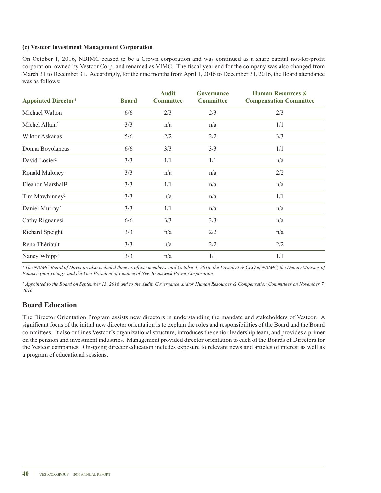#### **(c) Vestcor investment management corporation**

on october 1, 2016, nBIMc ceased to be a crown corporation and was continued as a share capital not-for-profit corporation, owned by Vestcor Corp. and renamed as VIMC. The fiscal year end for the company was also changed from March 31 to December 31. Accordingly, for the nine months from April 1, 2016 to December 31, 2016, the Board attendance was as follows:

| <b>Appointed Director1</b>    | <b>Board</b> | <b>Audit</b><br><b>Committee</b> | Governance<br><b>Committee</b> | <b>Human Resources &amp;</b><br><b>Compensation Committee</b> |
|-------------------------------|--------------|----------------------------------|--------------------------------|---------------------------------------------------------------|
| Michael Walton                | 6/6          | 2/3                              | 2/3                            | 2/3                                                           |
| Michel Allain <sup>2</sup>    | 3/3          | n/a                              | n/a                            | 1/1                                                           |
| Wiktor Askanas                | 5/6          | 2/2                              | 2/2                            | 3/3                                                           |
| Donna Bovolaneas              | 6/6          | 3/3                              | 3/3                            | 1/1                                                           |
| David Losier <sup>2</sup>     | 3/3          | 1/1                              | 1/1                            | n/a                                                           |
| Ronald Maloney                | 3/3          | n/a                              | n/a                            | 2/2                                                           |
| Eleanor Marshall <sup>2</sup> | 3/3          | 1/1                              | n/a                            | n/a                                                           |
| Tim Mawhinney <sup>2</sup>    | 3/3          | n/a                              | n/a                            | 1/1                                                           |
| Daniel Murray <sup>2</sup>    | 3/3          | 1/1                              | n/a                            | n/a                                                           |
| Cathy Rignanesi               | 6/6          | 3/3                              | 3/3                            | n/a                                                           |
| Richard Speight               | 3/3          | n/a                              | 2/2                            | n/a                                                           |
| Reno Thériault                | 3/3          | n/a                              | 2/2                            | 2/2                                                           |
| Nancy Whipp <sup>2</sup>      | 3/3          | n/a                              | 1/1                            | 1/1                                                           |

<sup>1</sup> The NBIMC Board of Directors also included three ex officio members until October 1, 2016: the President & CEO of NBIMC, the Deputy Minister of *Finance (non-voting), and the Vice-President of Finance of New Brunswick Power Corporation.*

<sup>2</sup> Appointed to the Board on September 13, 2016 and to the Audit, Governance and/or Human Resources & Compensation Committees on November 7, *2016.*

### **Board education**

The Director Orientation Program assists new directors in understanding the mandate and stakeholders of Vestcor. A significant focus of the initial new director orientation is to explain the roles and responsibilities of the Board and the Board committees. It also outlines vestcor's organizational structure, introduces the senior leadership team, and provides a primer on the pension and investment industries. Management provided director orientation to each of the Boards of Directors for the vestcor companies. on-going director education includes exposure to relevant news and articles of interest as well as a program of educational sessions.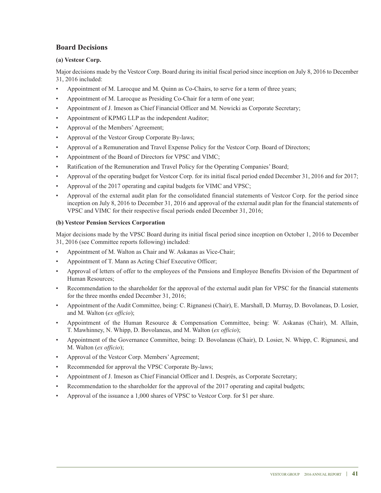### **Board Decisions**

#### **(a) Vestcor corp.**

Major decisions made by the vestcor corp. Board during its initial fiscal period since inception on July 8, 2016 to December 31, 2016 included:

- Appointment of M. Larocque and M. Quinn as Co-Chairs, to serve for a term of three years;
- Appointment of M. Larocque as Presiding Co-Chair for a term of one year;
- Appointment of J. Imeson as Chief Financial Officer and M. Nowicki as Corporate Secretary;
- Appointment of KPMG LLP as the independent Auditor;
- Approval of the Members' Agreement;
- Approval of the Vestcor Group Corporate By-laws;
- Approval of a Remuneration and Travel Expense Policy for the Vestcor Corp. Board of Directors;
- Appointment of the Board of Directors for VPSC and VIMC;
- Ratification of the Remuneration and Travel Policy for the Operating Companies' Board;
- approval of the operating budget for vestcor corp. for its initial fiscal period ended December 31, 2016 and for 2017;
- Approval of the 2017 operating and capital budgets for VIMC and VPSC;
- Approval of the external audit plan for the consolidated financial statements of Vestcor Corp. for the period since inception on July 8, 2016 to December 31, 2016 and approval of the external audit plan for the financial statements of vpsc and vIMc for their respective fiscal periods ended December 31, 2016;

#### **(b) Vestcor pension services corporation**

Major decisions made by the vpsc Board during its initial fiscal period since inception on october 1, 2016 to December 31, 2016 (see committee reports following) included:

- Appointment of M. Walton as Chair and W. Askanas as Vice-Chair;
- Appointment of T. Mann as Acting Chief Executive Officer;
- Approval of letters of offer to the employees of the Pensions and Employee Benefits Division of the Department of Human Resources:
- Recommendation to the shareholder for the approval of the external audit plan for VPSC for the financial statements for the three months ended December 31, 2016;
- Appointment of the Audit Committee, being: C. Rignanesi (Chair), E. Marshall, D. Murray, D. Bovolaneas, D. Losier, and M. Walton (*ex officio*);
- Appointment of the Human Resource & Compensation Committee, being: W. Askanas (Chair), M. Allain, t. Mawhinney, n. Whipp, D. Bovolaneas, and M. Walton (*ex officio*);
- Appointment of the Governance Committee, being: D. Bovolaneas (Chair), D. Losier, N. Whipp, C. Rignanesi, and M. Walton (*ex officio*);
- Approval of the Vestcor Corp. Members' Agreement;
- Recommended for approval the VPSC Corporate By-laws;
- Appointment of J. Imeson as Chief Financial Officer and I. Després, as Corporate Secretary;
- Recommendation to the shareholder for the approval of the 2017 operating and capital budgets;
- Approval of the issuance a 1,000 shares of VPSC to Vestcor Corp. for \$1 per share.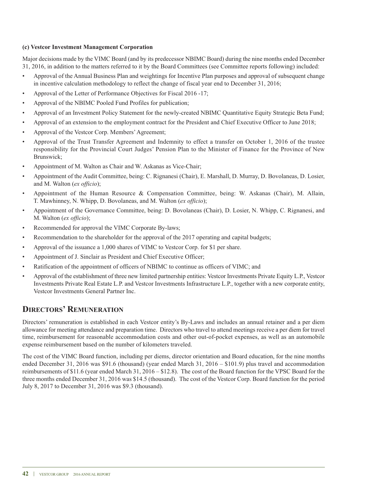#### **(c) Vestcor investment management corporation**

Major decisions made by the vIMc Board (and by its predecessor nBIMc Board) during the nine months ended December 31, 2016, in addition to the matters referred to it by the Board committees (see committee reports following) included:

- Approval of the Annual Business Plan and weightings for Incentive Plan purposes and approval of subsequent change in incentive calculation methodology to reflect the change of fiscal year end to December 31, 2016;
- Approval of the Letter of Performance Objectives for Fiscal 2016 -17;
- Approval of the NBIMC Pooled Fund Profiles for publication;
- Approval of an Investment Policy Statement for the newly-created NBIMC Quantitative Equity Strategic Beta Fund;
- Approval of an extension to the employment contract for the President and Chief Executive Officer to June 2018;
- Approval of the Vestcor Corp. Members' Agreement;
- Approval of the Trust Transfer Agreement and Indemnity to effect a transfer on October 1, 2016 of the trustee responsibility for the provincial court Judges' pension plan to the Minister of Finance for the province of new Brunswick;
- Appointment of M. Walton as Chair and W. Askanas as Vice-Chair;
- Appointment of the Audit Committee, being: C. Rignanesi (Chair), E. Marshall, D. Murray, D. Bovolaneas, D. Losier, and M. Walton (*ex officio*);
- Appointment of the Human Resource & Compensation Committee, being: W. Askanas (Chair), M. Allain, t. Mawhinney, n. Whipp, D. Bovolaneas, and M. Walton (*ex officio*);
- Appointment of the Governance Committee, being: D. Bovolaneas (Chair), D. Losier, N. Whipp, C. Rignanesi, and M. Walton (*ex officio*);
- Recommended for approval the VIMC Corporate By-laws;
- Recommendation to the shareholder for the approval of the 2017 operating and capital budgets;
- Approval of the issuance a 1,000 shares of VIMC to Vestcor Corp. for \$1 per share.
- Appointment of J. Sinclair as President and Chief Executive Officer;
- Ratification of the appointment of officers of NBIMC to continue as officers of VIMC; and
- Approval of the establishment of three new limited partnership entities: Vestcor Investments Private Equity L.P., Vestcor Investments Private Real Estate L.P. and Vestcor Investments Infrastructure L.P., together with a new corporate entity, Vestcor Investments General Partner Inc.

# **directors' remuneration**

Directors' remuneration is established in each vestcor entity's By-laws and includes an annual retainer and a per diem allowance for meeting attendance and preparation time. Directors who travel to attend meetings receive a per diem for travel time, reimbursement for reasonable accommodation costs and other out-of-pocket expenses, as well as an automobile expense reimbursement based on the number of kilometers traveled.

the cost of the vIMc Board function, including per diems, director orientation and Board education, for the nine months ended December 31, 2016 was \$91.6 (thousand) (year ended March 31, 2016 – \$101.9) plus travel and accommodation reimbursements of \$11.6 (year ended March 31, 2016 – \$12.8). The cost of the Board function for the VPSC Board for the three months ended December 31, 2016 was \$14.5 (thousand). the cost of the vestcor corp. Board function for the period July 8, 2017 to December 31, 2016 was \$9.3 (thousand).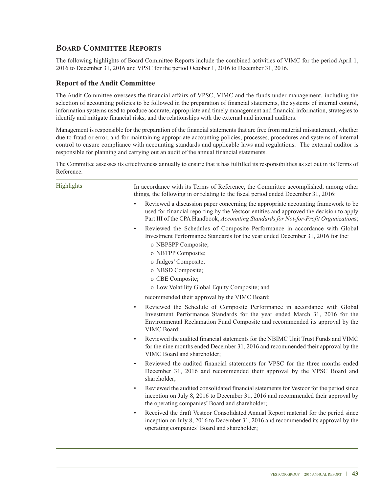# **Board committee reports**

The following highlights of Board Committee Reports include the combined activities of VIMC for the period April 1, 2016 to December 31, 2016 and vpsc for the period october 1, 2016 to December 31, 2016.

### **report of the audit committee**

The Audit Committee oversees the financial affairs of VPSC, VIMC and the funds under management, including the selection of accounting policies to be followed in the preparation of financial statements, the systems of internal control, information systems used to produce accurate, appropriate and timely management and financial information, strategies to identify and mitigate financial risks, and the relationships with the external and internal auditors.

Management is responsible for the preparation of the financial statements that are free from material misstatement, whether due to fraud or error, and for maintaining appropriate accounting policies, processes, procedures and systems of internal control to ensure compliance with accounting standards and applicable laws and regulations. the external auditor is responsible for planning and carrying out an audit of the annual financial statements.

The Committee assesses its effectiveness annually to ensure that it has fulfilled its responsibilities as set out in its Terms of Reference.

| Highlights | In accordance with its Terms of Reference, the Committee accomplished, among other<br>things, the following in or relating to the fiscal period ended December 31, 2016:                                                                                                               |
|------------|----------------------------------------------------------------------------------------------------------------------------------------------------------------------------------------------------------------------------------------------------------------------------------------|
|            | Reviewed a discussion paper concerning the appropriate accounting framework to be<br>$\bullet$<br>used for financial reporting by the Vestcor entities and approved the decision to apply<br>Part III of the CPA Handbook, Accounting Standards for Not-for-Profit Organizations;      |
|            | Reviewed the Schedules of Composite Performance in accordance with Global<br>$\bullet$<br>Investment Performance Standards for the year ended December 31, 2016 for the:<br>o NBPSPP Composite;<br>o NBTPP Composite;<br>o Judges' Composite;<br>o NBSD Composite;<br>o CBE Composite; |
|            | o Low Volatility Global Equity Composite; and                                                                                                                                                                                                                                          |
|            | recommended their approval by the VIMC Board;                                                                                                                                                                                                                                          |
|            | Reviewed the Schedule of Composite Performance in accordance with Global<br>$\bullet$<br>Investment Performance Standards for the year ended March 31, 2016 for the<br>Environmental Reclamation Fund Composite and recommended its approval by the<br>VIMC Board;                     |
|            | Reviewed the audited financial statements for the NBIMC Unit Trust Funds and VIMC<br>$\bullet$<br>for the nine months ended December 31, 2016 and recommended their approval by the<br>VIMC Board and shareholder;                                                                     |
|            | Reviewed the audited financial statements for VPSC for the three months ended<br>$\bullet$<br>December 31, 2016 and recommended their approval by the VPSC Board and<br>shareholder;                                                                                                   |
|            | Reviewed the audited consolidated financial statements for Vestcor for the period since<br>$\bullet$<br>inception on July 8, 2016 to December 31, 2016 and recommended their approval by<br>the operating companies' Board and shareholder;                                            |
|            | Received the draft Vestcor Consolidated Annual Report material for the period since<br>$\bullet$<br>inception on July 8, 2016 to December 31, 2016 and recommended its approval by the<br>operating companies' Board and shareholder;                                                  |
|            |                                                                                                                                                                                                                                                                                        |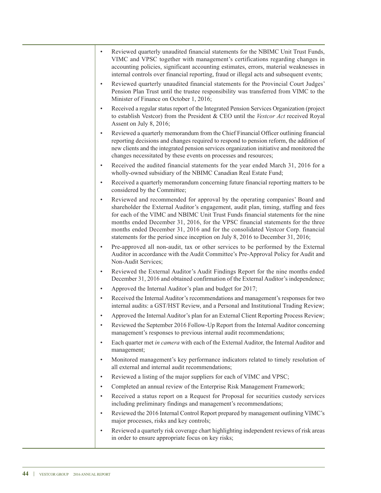|           | Reviewed quarterly unaudited financial statements for the NBIMC Unit Trust Funds,<br>VIMC and VPSC together with management's certifications regarding changes in<br>accounting policies, significant accounting estimates, errors, material weaknesses in<br>internal controls over financial reporting, fraud or illegal acts and subsequent events;                                                                                                                                                            |
|-----------|-------------------------------------------------------------------------------------------------------------------------------------------------------------------------------------------------------------------------------------------------------------------------------------------------------------------------------------------------------------------------------------------------------------------------------------------------------------------------------------------------------------------|
| $\bullet$ | Reviewed quarterly unaudited financial statements for the Provincial Court Judges'<br>Pension Plan Trust until the trustee responsibility was transferred from VIMC to the<br>Minister of Finance on October 1, 2016;                                                                                                                                                                                                                                                                                             |
| $\bullet$ | Received a regular status report of the Integrated Pension Services Organization (project<br>to establish Vestcor) from the President & CEO until the Vestcor Act received Royal<br>Assent on July 8, 2016;                                                                                                                                                                                                                                                                                                       |
| $\bullet$ | Reviewed a quarterly memorandum from the Chief Financial Officer outlining financial<br>reporting decisions and changes required to respond to pension reform, the addition of<br>new clients and the integrated pension services organization initiative and monitored the<br>changes necessitated by these events on processes and resources;                                                                                                                                                                   |
| $\bullet$ | Received the audited financial statements for the year ended March 31, 2016 for a<br>wholly-owned subsidiary of the NBIMC Canadian Real Estate Fund;                                                                                                                                                                                                                                                                                                                                                              |
| $\bullet$ | Received a quarterly memorandum concerning future financial reporting matters to be<br>considered by the Committee;                                                                                                                                                                                                                                                                                                                                                                                               |
| $\bullet$ | Reviewed and recommended for approval by the operating companies' Board and<br>shareholder the External Auditor's engagement, audit plan, timing, staffing and fees<br>for each of the VIMC and NBIMC Unit Trust Funds financial statements for the nine<br>months ended December 31, 2016, for the VPSC financial statements for the three<br>months ended December 31, 2016 and for the consolidated Vestcor Corp. financial<br>statements for the period since inception on July 8, 2016 to December 31, 2016; |
| $\bullet$ | Pre-approved all non-audit, tax or other services to be performed by the External<br>Auditor in accordance with the Audit Committee's Pre-Approval Policy for Audit and<br>Non-Audit Services;                                                                                                                                                                                                                                                                                                                    |
| $\bullet$ | Reviewed the External Auditor's Audit Findings Report for the nine months ended<br>December 31, 2016 and obtained confirmation of the External Auditor's independence;                                                                                                                                                                                                                                                                                                                                            |
| $\bullet$ | Approved the Internal Auditor's plan and budget for 2017;                                                                                                                                                                                                                                                                                                                                                                                                                                                         |
| ٠         | Received the Internal Auditor's recommendations and management's responses for two<br>internal audits: a GST/HST Review, and a Personal and Institutional Trading Review;                                                                                                                                                                                                                                                                                                                                         |
|           | Approved the Internal Auditor's plan for an External Client Reporting Process Review;                                                                                                                                                                                                                                                                                                                                                                                                                             |
| $\bullet$ | Reviewed the September 2016 Follow-Up Report from the Internal Auditor concerning<br>management's responses to previous internal audit recommendations;                                                                                                                                                                                                                                                                                                                                                           |
| $\bullet$ | Each quarter met in camera with each of the External Auditor, the Internal Auditor and<br>management;                                                                                                                                                                                                                                                                                                                                                                                                             |
| $\bullet$ | Monitored management's key performance indicators related to timely resolution of<br>all external and internal audit recommendations;                                                                                                                                                                                                                                                                                                                                                                             |
| ٠         | Reviewed a listing of the major suppliers for each of VIMC and VPSC;                                                                                                                                                                                                                                                                                                                                                                                                                                              |
| $\bullet$ | Completed an annual review of the Enterprise Risk Management Framework;                                                                                                                                                                                                                                                                                                                                                                                                                                           |
| $\bullet$ | Received a status report on a Request for Proposal for securities custody services<br>including preliminary findings and management's recommendations;                                                                                                                                                                                                                                                                                                                                                            |
| $\bullet$ | Reviewed the 2016 Internal Control Report prepared by management outlining VIMC's<br>major processes, risks and key controls;                                                                                                                                                                                                                                                                                                                                                                                     |
| ٠         | Reviewed a quarterly risk coverage chart highlighting independent reviews of risk areas<br>in order to ensure appropriate focus on key risks;                                                                                                                                                                                                                                                                                                                                                                     |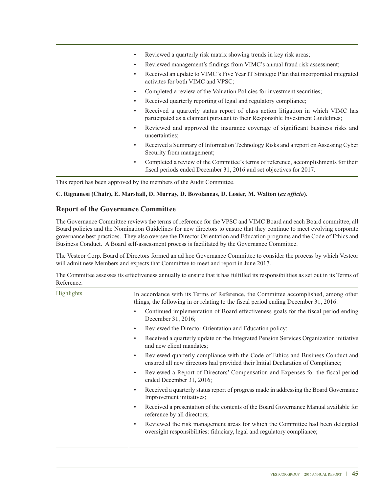| Reviewed a quarterly risk matrix showing trends in key risk areas;                                                                                                      |
|-------------------------------------------------------------------------------------------------------------------------------------------------------------------------|
| Reviewed management's findings from VIMC's annual fraud risk assessment;                                                                                                |
| Received an update to VIMC's Five Year IT Strategic Plan that incorporated integrated<br>activites for both VIMC and VPSC;                                              |
| Completed a review of the Valuation Policies for investment securities;                                                                                                 |
| Received quarterly reporting of legal and regulatory compliance;                                                                                                        |
| Received a quarterly status report of class action litigation in which VIMC has<br>participated as a claimant pursuant to their Responsible Investment Guidelines;      |
| Reviewed and approved the insurance coverage of significant business risks and<br>uncertainties;                                                                        |
| Received a Summary of Information Technology Risks and a report on Assessing Cyber<br>Security from management;                                                         |
| Completed a review of the Committee's terms of reference, accomplishments for their<br>$\bullet$<br>fiscal periods ended December 31, 2016 and set objectives for 2017. |

This report has been approved by the members of the Audit Committee.

#### **c. rignanesi (chair), e. marshall, d. murray, d. Bovolaneas, d. losier, m. Walton (***ex officio***).**

### **report of the governance committee**

The Governance Committee reviews the terms of reference for the VPSC and VIMC Board and each Board committee, all Board policies and the Nomination Guidelines for new directors to ensure that they continue to meet evolving corporate governance best practices. they also oversee the Director orientation and education programs and the code of ethics and Business Conduct. A Board self-assessment process is facilitated by the Governance Committee.

The Vestcor Corp. Board of Directors formed an ad hoc Governance Committee to consider the process by which Vestcor will admit new Members and expects that Committee to meet and report in June 2017.

The Committee assesses its effectiveness annually to ensure that it has fulfilled its responsibilities as set out in its Terms of Reference.

| Highlights | In accordance with its Terms of Reference, the Committee accomplished, among other<br>things, the following in or relating to the fiscal period ending December 31, 2016:      |
|------------|--------------------------------------------------------------------------------------------------------------------------------------------------------------------------------|
|            | Continued implementation of Board effectiveness goals for the fiscal period ending<br>$\bullet$<br>December 31, 2016;                                                          |
|            | Reviewed the Director Orientation and Education policy;<br>$\bullet$                                                                                                           |
|            | Received a quarterly update on the Integrated Pension Services Organization initiative<br>$\bullet$<br>and new client mandates;                                                |
|            | Reviewed quarterly compliance with the Code of Ethics and Business Conduct and<br>$\bullet$<br>ensured all new directors had provided their Initial Declaration of Compliance; |
|            | Reviewed a Report of Directors' Compensation and Expenses for the fiscal period<br>$\bullet$<br>ended December 31, 2016;                                                       |
|            | Received a quarterly status report of progress made in addressing the Board Governance<br>$\bullet$<br>Improvement initiatives;                                                |
|            | Received a presentation of the contents of the Board Governance Manual available for<br>$\bullet$<br>reference by all directors;                                               |
|            | Reviewed the risk management areas for which the Committee had been delegated<br>$\bullet$<br>oversight responsibilities: fiduciary, legal and regulatory compliance;          |
|            |                                                                                                                                                                                |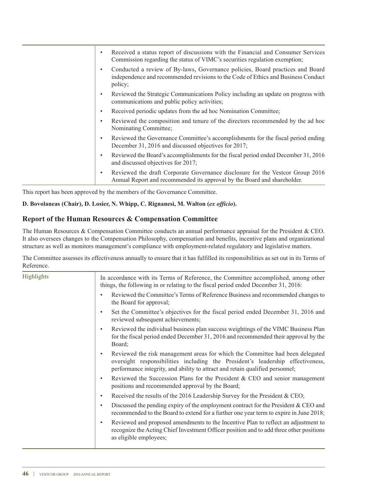| ٠         | Received a status report of discussions with the Financial and Consumer Services<br>Commission regarding the status of VIMC's securities regulation exemption;                |
|-----------|-------------------------------------------------------------------------------------------------------------------------------------------------------------------------------|
| ٠         | Conducted a review of By-laws, Governance policies, Board practices and Board<br>independence and recommended revisions to the Code of Ethics and Business Conduct<br>policy; |
| $\bullet$ | Reviewed the Strategic Communications Policy including an update on progress with<br>communications and public policy activities;                                             |
| $\bullet$ | Received periodic updates from the ad hoc Nomination Committee;                                                                                                               |
| $\bullet$ | Reviewed the composition and tenure of the directors recommended by the ad hoc<br>Nominating Committee;                                                                       |
| ٠         | Reviewed the Governance Committee's accomplishments for the fiscal period ending<br>December 31, 2016 and discussed objectives for 2017;                                      |
| $\bullet$ | Reviewed the Board's accomplishments for the fiscal period ended December 31, 2016<br>and discussed objectives for 2017;                                                      |
| $\bullet$ | Reviewed the draft Corporate Governance disclosure for the Vestcor Group 2016<br>Annual Report and recommended its approval by the Board and shareholder.                     |
|           |                                                                                                                                                                               |

This report has been approved by the members of the Governance Committee.

#### **d. Bovolaneas (chair), d. losier, n. Whipp, c. rignanesi, m. Walton (***ex officio***).**

# **report of the Human resources & compensation committee**

The Human Resources & Compensation Committee conducts an annual performance appraisal for the President  $&$  CEO. It also oversees changes to the compensation philosophy, compensation and benefits, incentive plans and organizational structure as well as monitors management's compliance with employment-related regulatory and legislative matters.

the committee assesses its effectiveness annually to ensure that it has fulfilled its responsibilities as set out in its terms of Reference.

| Highlights | In accordance with its Terms of Reference, the Committee accomplished, among other<br>things, the following in or relating to the fiscal period ended December 31, 2016:                                                                                      |  |  |  |  |
|------------|---------------------------------------------------------------------------------------------------------------------------------------------------------------------------------------------------------------------------------------------------------------|--|--|--|--|
|            | Reviewed the Committee's Terms of Reference Business and recommended changes to<br>$\bullet$<br>the Board for approval;                                                                                                                                       |  |  |  |  |
|            | Set the Committee's objectives for the fiscal period ended December 31, 2016 and<br>$\bullet$<br>reviewed subsequent achievements;                                                                                                                            |  |  |  |  |
|            | Reviewed the individual business plan success weightings of the VIMC Business Plan<br>$\bullet$<br>for the fiscal period ended December 31, 2016 and recommended their approval by the<br>Board;                                                              |  |  |  |  |
|            | Reviewed the risk management areas for which the Committee had been delegated<br>$\bullet$<br>oversight responsibilities including the President's leadership effectiveness,<br>performance integrity, and ability to attract and retain qualified personnel; |  |  |  |  |
|            | Reviewed the Succession Plans for the President & CEO and senior management<br>$\bullet$<br>positions and recommended approval by the Board;                                                                                                                  |  |  |  |  |
|            | Received the results of the 2016 Leadership Survey for the President & CEO;<br>٠                                                                                                                                                                              |  |  |  |  |
|            | Discussed the pending expiry of the employment contract for the President $&$ CEO and<br>$\bullet$<br>recommended to the Board to extend for a further one year term to expire in June 2018;                                                                  |  |  |  |  |
|            | Reviewed and proposed amendments to the Incentive Plan to reflect an adjustment to<br>$\bullet$<br>recognize the Acting Chief Investment Officer position and to add three other positions<br>as eligible employees;                                          |  |  |  |  |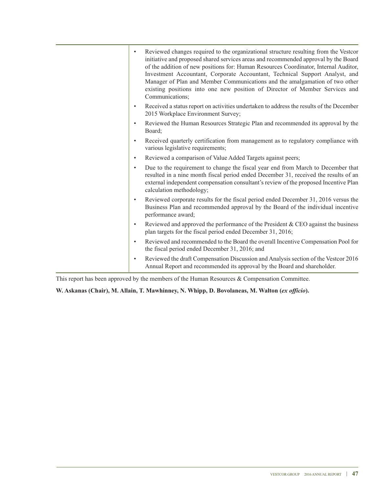| Reviewed changes required to the organizational structure resulting from the Vestcor<br>$\bullet$<br>initiative and proposed shared services areas and recommended approval by the Board<br>of the addition of new positions for: Human Resources Coordinator, Internal Auditor,<br>Investment Accountant, Corporate Accountant, Technical Support Analyst, and<br>Manager of Plan and Member Communications and the amalgamation of two other<br>existing positions into one new position of Director of Member Services and<br>Communications; |
|--------------------------------------------------------------------------------------------------------------------------------------------------------------------------------------------------------------------------------------------------------------------------------------------------------------------------------------------------------------------------------------------------------------------------------------------------------------------------------------------------------------------------------------------------|
| Received a status report on activities undertaken to address the results of the December<br>$\bullet$<br>2015 Workplace Environment Survey;                                                                                                                                                                                                                                                                                                                                                                                                      |
| Reviewed the Human Resources Strategic Plan and recommended its approval by the<br>$\bullet$<br>Board:                                                                                                                                                                                                                                                                                                                                                                                                                                           |
| Received quarterly certification from management as to regulatory compliance with<br>$\bullet$<br>various legislative requirements;                                                                                                                                                                                                                                                                                                                                                                                                              |
| Reviewed a comparison of Value Added Targets against peers;<br>$\bullet$                                                                                                                                                                                                                                                                                                                                                                                                                                                                         |
| Due to the requirement to change the fiscal year end from March to December that<br>$\bullet$<br>resulted in a nine month fiscal period ended December 31, received the results of an<br>external independent compensation consultant's review of the proposed Incentive Plan<br>calculation methodology;                                                                                                                                                                                                                                        |
| Reviewed corporate results for the fiscal period ended December 31, 2016 versus the<br>$\bullet$<br>Business Plan and recommended approval by the Board of the individual incentive<br>performance award;                                                                                                                                                                                                                                                                                                                                        |
| Reviewed and approved the performance of the President & CEO against the business<br>$\bullet$<br>plan targets for the fiscal period ended December 31, 2016;                                                                                                                                                                                                                                                                                                                                                                                    |
| Reviewed and recommended to the Board the overall Incentive Compensation Pool for<br>$\bullet$<br>the fiscal period ended December 31, 2016; and                                                                                                                                                                                                                                                                                                                                                                                                 |
| Reviewed the draft Compensation Discussion and Analysis section of the Vestcor 2016<br>$\bullet$<br>Annual Report and recommended its approval by the Board and shareholder.                                                                                                                                                                                                                                                                                                                                                                     |

This report has been approved by the members of the Human Resources  $&$  Compensation Committee.

**W. askanas (chair), m. allain, t. mawhinney, n. Whipp, d. Bovolaneas, m. Walton (***ex officio***).**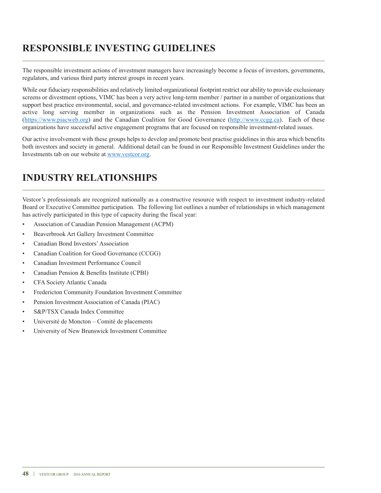# **responsiBle inVesting guidelines**

The responsible investment actions of investment managers have increasingly become a focus of investors, governments, regulators, and various third party interest groups in recent years.

While our fiduciary responsibilities and relatively limited organizational footprint restrict our ability to provide exclusionary screens or divestment options, vIMc has been a very active long-term member / partner in a number of organizations that support best practice environmental, social, and governance-related investment actions. For example, vIMc has been an active long serving member in organizations such as the pension Investment association of canada (https://www.piacweb.org) and the Canadian Coalition for Good Governance (http://www.ccgg.ca). Each of these organizations have successful active engagement programs that are focused on responsible investment-related issues.

our active involvement with these groups helps to develop and promote best practise guidelines in this area which benefits both investors and society in general. additional detail can be found in our responsible Investment guidelines under the Investments tab on our website at www.vestcor.org.

# **industry relationsHips**

vestcor's professionals are recognized nationally as a constructive resource with respect to investment industry-related Board or Executive Committee participation. The following list outlines a number of relationships in which management has actively participated in this type of capacity during the fiscal year:

- Association of Canadian Pension Management (ACPM)
- Beaverbrook Art Gallery Investment Committee
- Canadian Bond Investors' Association
- Canadian Coalition for Good Governance (CCGG)
- canadian Investment performance council
- Canadian Pension & Benefits Institute (CPBI)
- CFA Society Atlantic Canada
- Fredericton community Foundation Investment committee
- Pension Investment Association of Canada (PIAC)
- S&P/TSX Canada Index Committee
- Université de Moncton Comité de placements
- University of New Brunswick Investment Committee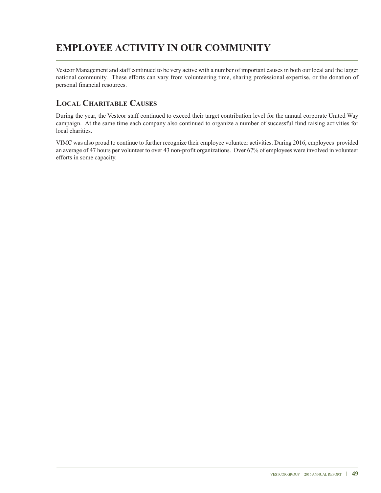# **employee actiVity in our community**

vestcor Management and staff continued to be very active with a number of important causes in both our local and the larger national community. these efforts can vary from volunteering time, sharing professional expertise, or the donation of personal financial resources.

# **local cHaritaBle causes**

During the year, the Vestcor staff continued to exceed their target contribution level for the annual corporate United Way campaign. at the same time each company also continued to organize a number of successful fund raising activities for local charities.

vIMc was also proud to continue to further recognize their employee volunteer activities. During 2016, employees provided an average of 47 hours per volunteer to over 43 non-profit organizations. over 67% of employees were involved in volunteer efforts in some capacity.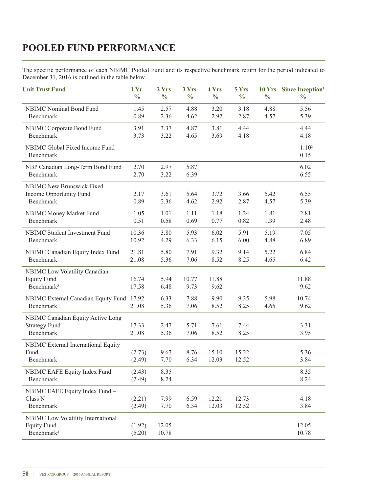# **pooled fund performance**

The specific performance of each NBIMC Pooled Fund and its respective benchmark return for the period indicated to December 31, 2016 is outlined in the table below.

| <b>Unit Trust Fund</b>                    | 1 Yr          | 2 Yrs         | 3 Yrs         | 4 Yrs         | 5 Yrs         |               | 10 Yrs Since Inception <sup>1</sup> |
|-------------------------------------------|---------------|---------------|---------------|---------------|---------------|---------------|-------------------------------------|
|                                           | $\frac{0}{0}$ | $\frac{0}{0}$ | $\frac{0}{0}$ | $\frac{0}{0}$ | $\frac{0}{0}$ | $\frac{0}{0}$ | $\frac{0}{0}$                       |
| NBIMC Nominal Bond Fund                   | 1.45          | 2.57          | 4.88          | 3.20          | 3.18          | 4.88          | 5.56                                |
| Benchmark                                 | 0.89          | 2.36          | 4.62          | 2.92          | 2.87          | 4.57          | 5.39                                |
| NBIMC Corporate Bond Fund                 | 3.91          | 3.37          | 4.87          | 3.81          | 4.44          |               | 4.44                                |
| Benchmark                                 | 3.73          | 3.22          | 4.65          | 3.69          | 4.18          |               | 4.18                                |
| NBIMC Global Fixed Income Fund            |               |               |               |               |               |               | 1.10 <sup>2</sup>                   |
| Benchmark                                 |               |               |               |               |               |               | 0.15                                |
| NBP Canadian Long-Term Bond Fund          | 2.70          | 2.97          | 5.87          |               |               |               | 6.02                                |
| <b>Benchmark</b>                          | 2.70          | 3.22          | 6.39          |               |               |               | 6.55                                |
| NBIMC New Brunswick Fixed                 |               |               |               |               |               |               |                                     |
| Income Opportunity Fund                   | 2.17          | 3.61          | 5.64          | 3.72          | 3.66          | 5.42          | 6.55                                |
| Benchmark                                 | 0.89          | 2.36          | 4.62          | 2.92          | 2.87          | 4.57          | 5.39                                |
| NBIMC Money Market Fund                   | 1.05          | 1.01          | 1.11          | 1.18          | 1.24          | 1.81          | 2.81                                |
| Benchmark                                 | 0.51          | 0.58          | 0.69          | 0.77          | 0.82          | 1.39          | 2.48                                |
| <b>NBIMC Student Investment Fund</b>      | 10.36         | 3.80          | 5.93          | 6.02          | 5.91          | 5.19          | 7.05                                |
| Benchmark                                 | 10.92         | 4.29          | 6.33          | 6.15          | 6.00          | 4.88          | 6.89                                |
| NBIMC Canadian Equity Index Fund          | 21.81         | 5.80          | 7.91          | 9.32          | 9.14          | 5.22          | 6.84                                |
| <b>Benchmark</b>                          | 21.08         | 5.36          | 7.06          | 8.52          | 8.25          | 4.65          | 6.42                                |
| NBIMC Low Volatility Canadian             |               |               |               |               |               |               |                                     |
| <b>Equity Fund</b>                        | 16.74         | 5.94          | 10.77         | 11.88         |               |               | 11.88                               |
| Benchmark <sup>3</sup>                    | 17.58         | 6.48          | 9.73          | 9.62          |               |               | 9.62                                |
| NBIMC External Canadian Equity Fund 17.92 |               | 6.33          | 7.88          | 9.90          | 9.35          | 5.98          | 10.74                               |
| <b>Benchmark</b>                          | 21.08         | 5.36          | 7.06          | 8.52          | 8.25          | 4.65          | 9.62                                |
| NBIMC Canadian Equity Active Long         |               |               |               |               |               |               |                                     |
| <b>Strategy Fund</b>                      | 17.33         | 2.47          | 5.71          | 7.61          | 7.44          |               | 3.31                                |
| Benchmark                                 | 21.08         | 5.36          | 7.06          | 8.52          | 8.25          |               | 3.95                                |
| NBIMC External International Equity       |               |               |               |               |               |               |                                     |
| Fund                                      | (2.73)        | 9.67          | 8.76          | 15.10         | 15.22         |               | 5.36                                |
| Benchmark                                 | (2.49)        | 7.70          | 6.34          | 12.03         | 12.52         |               | 3.84                                |
| NBIMC EAFE Equity Index Fund              | (2.43)        | 8.35          |               |               |               |               | 8.35                                |
| Benchmark                                 | (2.49)        | 8.24          |               |               |               |               | 8.24                                |
| NBIMC EAFE Equity Index Fund -            |               |               |               |               |               |               |                                     |
| Class N                                   | (2.21)        | 7.99          | 6.59          | 12.21         | 12.73         |               | 4.18                                |
| <b>Benchmark</b>                          | (2.49)        | 7.70          | 6.34          | 12.03         | 12.52         |               | 3.84                                |
| NBIMC Low Volatility International        |               |               |               |               |               |               |                                     |
| <b>Equity Fund</b>                        | (1.92)        | 12.05         |               |               |               |               | 12.05                               |
| Benchmark <sup>3</sup>                    | (5.20)        | 10.78         |               |               |               |               | 10.78                               |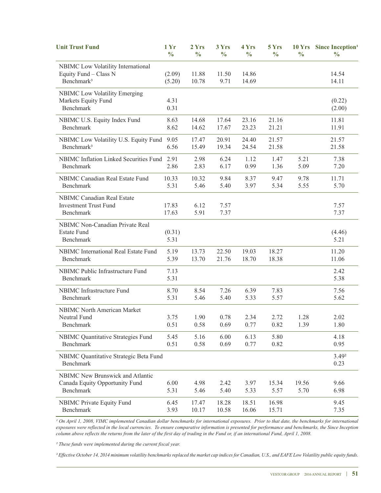| <b>Unit Trust Fund</b>                                                                | 1 Yr<br>$\frac{0}{0}$ | 2 Yrs<br>$\frac{0}{0}$ | 3 Yrs<br>$\frac{0}{0}$ | 4 Yrs<br>$\frac{0}{0}$ | 5 Yrs<br>$\frac{0}{0}$ | $\frac{0}{0}$ | 10 Yrs Since Inception <sup>1</sup><br>$\frac{0}{0}$ |
|---------------------------------------------------------------------------------------|-----------------------|------------------------|------------------------|------------------------|------------------------|---------------|------------------------------------------------------|
| NBIMC Low Volatility International<br>Equity Fund - Class N<br>Benchmark <sup>3</sup> | (2.09)<br>(5.20)      | 11.88<br>10.78         | 11.50<br>9.71          | 14.86<br>14.69         |                        |               | 14.54<br>14.11                                       |
| <b>NBIMC</b> Low Volatility Emerging<br>Markets Equity Fund<br><b>Benchmark</b>       | 4.31<br>0.31          |                        |                        |                        |                        |               | (0.22)<br>(2.00)                                     |
| NBIMC U.S. Equity Index Fund<br><b>Benchmark</b>                                      | 8.63<br>8.62          | 14.68<br>14.62         | 17.64<br>17.67         | 23.16<br>23.23         | 21.16<br>21.21         |               | 11.81<br>11.91                                       |
| NBIMC Low Volatility U.S. Equity Fund<br>Benchmark <sup>3</sup>                       | 9.05<br>6.56          | 17.47<br>15.49         | 20.91<br>19.34         | 24.40<br>24.54         | 21.57<br>21.58         |               | 21.57<br>21.58                                       |
| NBIMC Inflation Linked Securities Fund 2.91<br>Benchmark                              | 2.86                  | 2.98<br>2.83           | 6.24<br>6.17           | 1.12<br>0.99           | 1.47<br>1.36           | 5.21<br>5.09  | 7.38<br>7.20                                         |
| NBIMC Canadian Real Estate Fund<br>Benchmark                                          | 10.33<br>5.31         | 10.32<br>5.46          | 9.84<br>5.40           | 8.37<br>3.97           | 9.47<br>5.34           | 9.78<br>5.55  | 11.71<br>5.70                                        |
| <b>NBIMC Canadian Real Estate</b><br><b>Investment Trust Fund</b><br>Benchmark        | 17.83<br>17.63        | 6.12<br>5.91           | 7.57<br>7.37           |                        |                        |               | 7.57<br>7.37                                         |
| NBIMC Non-Canadian Private Real<br><b>Estate Fund</b><br>Benchmark                    | (0.31)<br>5.31        |                        |                        |                        |                        |               | (4.46)<br>5.21                                       |
| NBIMC International Real Estate Fund<br>Benchmark                                     | 5.19<br>5.39          | 13.73<br>13.70         | 22.50<br>21.76         | 19.03<br>18.70         | 18.27<br>18.38         |               | 11.20<br>11.06                                       |
| NBIMC Public Infrastructure Fund<br>Benchmark                                         | 7.13<br>5.31          |                        |                        |                        |                        |               | 2.42<br>5.38                                         |
| NBIMC Infrastructure Fund<br><b>Benchmark</b>                                         | 8.70<br>5.31          | 8.54<br>5.46           | 7.26<br>5.40           | 6.39<br>5.33           | 7.83<br>5.57           |               | 7.56<br>5.62                                         |
| <b>NBIMC North American Market</b><br>Neutral Fund<br>Benchmark                       | 3.75<br>0.51          | 1.90<br>0.58           | 0.78<br>0.69           | 2.34<br>0.77           | 2.72<br>0.82           | 1.28<br>1.39  | 2.02<br>1.80                                         |
| <b>NBIMC</b> Quantitative Strategies Fund<br><b>Benchmark</b>                         | 5.45<br>0.51          | 5.16<br>0.58           | 6.00<br>0.69           | 6.13<br>0.77           | 5.80<br>0.82           |               | 4.18<br>0.95                                         |
| NBIMC Quantitative Strategic Beta Fund<br><b>Benchmark</b>                            |                       |                        |                        |                        |                        |               | 3.49 <sup>2</sup><br>0.23                            |
| NBIMC New Brunswick and Atlantic<br>Canada Equity Opportunity Fund<br>Benchmark       | 6.00<br>5.31          | 4.98<br>5.46           | 2.42<br>5.40           | 3.97<br>5.33           | 15.34<br>5.57          | 19.56<br>5.70 | 9.66<br>6.98                                         |
| <b>NBIMC Private Equity Fund</b><br>Benchmark                                         | 6.45<br>3.93          | 17.47<br>10.17         | 18.28<br>10.58         | 18.51<br>16.06         | 16.98<br>15.71         |               | 9.45<br>7.35                                         |

<sup>1</sup> On April 1, 2008, VIMC implemented Canadian dollar benchmarks for international exposures. Prior to that date, the benchmarks for international exposures were reflected in the local currencies. To ensure comparative information is presented for performance and benchmarks, the Since Inception column above reflects the returns from the later of the first day of trading in the Fund or, if an international Fund, April 1, 2008.

*² These funds were implemented during the current fiscal year.*

<sup>3</sup> Effective October 14, 2014 minimum volatility benchmarks replaced the market cap indices for Canadian, U.S., and EAFE Low Volatility public equity funds.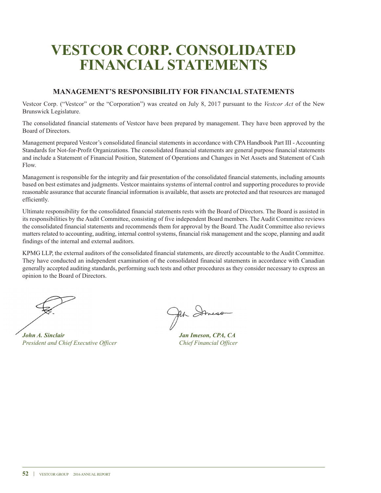# **Vestcor corp. consolidated financial statements**

# **management's responsiBility for financial statements**

vestcor corp. ("vestcor" or the "corporation") was created on July 8, 2017 pursuant to the *Vestcor Act* of the new Brunswick legislature.

The consolidated financial statements of Vestcor have been prepared by management. They have been approved by the Board of Directors.

Management prepared Vestcor's consolidated financial statements in accordance with CPA Handbook Part III - Accounting standards for not-for-profit organizations. the consolidated financial statements are general purpose financial statements and include a Statement of Financial Position, Statement of Operations and Changes in Net Assets and Statement of Cash Flow.

Management is responsible for the integrity and fair presentation of the consolidated financial statements, including amounts based on best estimates and judgments. vestcor maintains systems of internal control and supporting procedures to provide reasonable assurance that accurate financial information is available, that assets are protected and that resources are managed efficiently.

Ultimate responsibility for the consolidated financial statements rests with the Board of Directors. The Board is assisted in its responsibilities by the audit committee, consisting of five independent Board members. the audit committee reviews the consolidated financial statements and recommends them for approval by the Board. The Audit Committee also reviews matters related to accounting, auditing, internal control systems, financial risk management and the scope, planning and audit findings of the internal and external auditors.

KPMG LLP, the external auditors of the consolidated financial statements, are directly accountable to the Audit Committee. they have conducted an independent examination of the consolidated financial statements in accordance with canadian generally accepted auditing standards, performing such tests and other procedures as they consider necessary to express an opinion to the Board of Directors.

*John A. Sinclair Jan Imeson, CPA, CA President and Chief Executive Officer Chief Financial Officer*

Jan Streso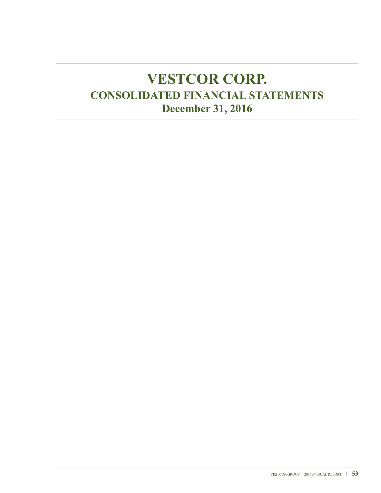# **VESTCOR CORP. CONSOLIDATED FINANCIAL STATEMENTS December 31, 2016**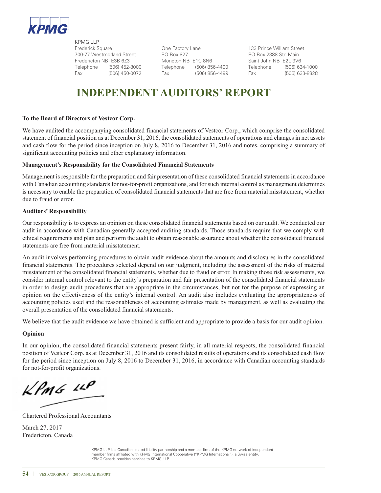

KPMG LLP Frederick Square **Cauca Cone Factory Lane** 133 Prince William Street 700-77 Westmorland Street PO Box 827 PO Box 2388 Stn Main Fredericton NB E3B 6Z3

Telephone (506) 452-8000 Telephone (506) 856-4400 Telephone (506) 634-1000 Fax (506) 450-0072 Fax (506) 856-4499 Fax (506) 633-8828

# **INDEPENDENT AUDITORS' REPORT**

#### **To the Board of Directors of Vestcor Corp.**

We have audited the accompanying consolidated financial statements of Vestcor Corp., which comprise the consolidated statement of financial position as at December 31, 2016, the consolidated statements of operations and changes in net assets and cash flow for the period since inception on July 8, 2016 to December 31, 2016 and notes, comprising a summary of significant accounting policies and other explanatory information.

#### **Management's Responsibility for the Consolidated Financial Statements**

Management is responsible for the preparation and fair presentation of these consolidated financial statements in accordance with Canadian accounting standards for not-for-profit organizations, and for such internal control as management determines is necessary to enable the preparation of consolidated financial statements that are free from material misstatement, whether due to fraud or error.

#### **Auditors' Responsibility**

Our responsibility is to express an opinion on these consolidated financial statements based on our audit. We conducted our audit in accordance with Canadian generally accepted auditing standards. Those standards require that we comply with ethical requirements and plan and perform the audit to obtain reasonable assurance about whether the consolidated financial statements are free from material misstatement.

An audit involves performing procedures to obtain audit evidence about the amounts and disclosures in the consolidated financial statements. The procedures selected depend on our judgment, including the assessment of the risks of material misstatement of the consolidated financial statements, whether due to fraud or error. In making those risk assessments, we consider internal control relevant to the entity's preparation and fair presentation of the consolidated financial statements in order to design audit procedures that are appropriate in the circumstances, but not for the purpose of expressing an opinion on the effectiveness of the entity's internal control. An audit also includes evaluating the appropriateness of accounting policies used and the reasonableness of accounting estimates made by management, as well as evaluating the overall presentation of the consolidated financial statements.

We believe that the audit evidence we have obtained is sufficient and appropriate to provide a basis for our audit opinion.

#### **Opinion**

In our opinion, the consolidated financial statements present fairly, in all material respects, the consolidated financial position of Vestcor Corp. as at December 31, 2016 and its consolidated results of operations and its consolidated cash flow for the period since inception on July 8, 2016 to December 31, 2016, in accordance with Canadian accounting standards for not-for-profit organizations.

 $KPMG$   $\mu$ P

Chartered Professional Accountants March 27, 2017

Fredericton, Canada

KPMG LLP is a Canadian limited liability partnership and a member firm of the KPMG network of independent member firms affiliated with KPMG International Cooperative ("KPMG International"), a Swiss entity. KPMG Canada provides services to KPMG LLP.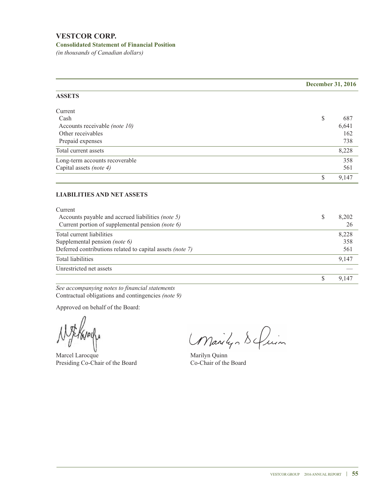**Consolidated Statement of Financial Position**

*(in thousands of Canadian dollars)*

|                                   | <b>December 31, 2016</b> |       |
|-----------------------------------|--------------------------|-------|
| <b>ASSETS</b>                     |                          |       |
| Current                           |                          |       |
| Cash                              | \$                       | 687   |
| Accounts receivable (note 10)     |                          | 6,641 |
| Other receivables                 |                          | 162   |
| Prepaid expenses                  |                          | 738   |
| Total current assets              |                          | 8,228 |
| Long-term accounts recoverable    |                          | 358   |
| Capital assets (note 4)           |                          | 561   |
|                                   | \$                       | 9,147 |
| <b>LIABILITIES AND NET ASSETS</b> |                          |       |
| Current                           |                          |       |

| Accounts payable and accrued liabilities <i>(note 5)</i><br>Current portion of supplemental pension (note 6) | S | 8,202<br>26 |
|--------------------------------------------------------------------------------------------------------------|---|-------------|
| Total current liabilities                                                                                    |   | 8,228       |
| Supplemental pension (note 6)                                                                                |   | 358         |
| Deferred contributions related to capital assets (note 7)                                                    |   | 561         |
| Total liabilities                                                                                            |   | 9,147       |
| Unrestricted net assets                                                                                      |   |             |
|                                                                                                              |   | 9.147       |

*See accompanying notes to financial statements* Contractual obligations and contingencies *(note 9)*

Approved on behalf of the Board:

Knoch

Marcel Larocque Marilyn Quinn Presiding Co-Chair of the Board Co-Chair of the Board

Marilyn & Quin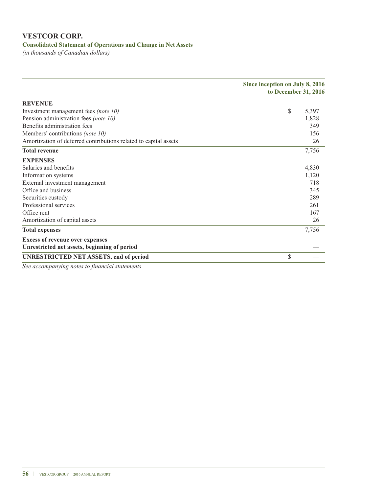### **Consolidated Statement of Operations and Change in Net Assets**

*(in thousands of Canadian dollars)*

|                                                                  | Since inception on July 8, 2016<br>to December 31, 2016 |  |  |
|------------------------------------------------------------------|---------------------------------------------------------|--|--|
| <b>REVENUE</b>                                                   |                                                         |  |  |
| Investment management fees (note 10)                             | \$<br>5,397                                             |  |  |
| Pension administration fees (note 10)                            | 1,828                                                   |  |  |
| Benefits administration fees                                     | 349                                                     |  |  |
| Members' contributions (note 10)                                 | 156                                                     |  |  |
| Amortization of deferred contributions related to capital assets | 26                                                      |  |  |
| <b>Total revenue</b>                                             | 7,756                                                   |  |  |
| <b>EXPENSES</b>                                                  |                                                         |  |  |
| Salaries and benefits                                            | 4,830                                                   |  |  |
| Information systems                                              | 1,120                                                   |  |  |
| External investment management                                   | 718                                                     |  |  |
| Office and business                                              | 345                                                     |  |  |
| Securities custody                                               | 289                                                     |  |  |
| Professional services                                            | 261                                                     |  |  |
| Office rent                                                      | 167                                                     |  |  |
| Amortization of capital assets                                   | 26                                                      |  |  |
| <b>Total expenses</b>                                            | 7,756                                                   |  |  |
| <b>Excess of revenue over expenses</b>                           |                                                         |  |  |
| Unrestricted net assets, beginning of period                     |                                                         |  |  |
| <b>UNRESTRICTED NET ASSETS, end of period</b>                    | \$                                                      |  |  |

*See accompanying notes to financial statements*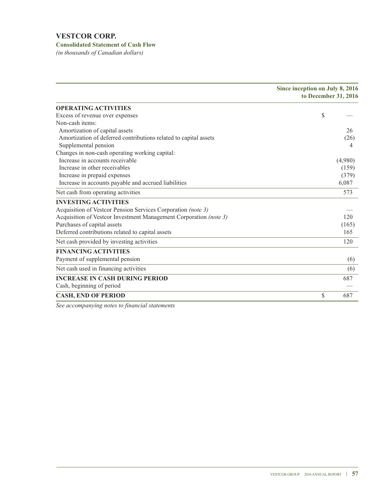**Consolidated Statement of Cash Flow**

*(in thousands of Canadian dollars)*

|                                                                   | Since inception on July 8, 2016<br>to December 31, 2016 |
|-------------------------------------------------------------------|---------------------------------------------------------|
| <b>OPERATING ACTIVITIES</b>                                       |                                                         |
| Excess of revenue over expenses                                   | \$                                                      |
| Non-cash items:                                                   |                                                         |
| Amortization of capital assets                                    | 26                                                      |
| Amortization of deferred contributions related to capital assets  | (26)                                                    |
| Supplemental pension                                              | 4                                                       |
| Changes in non-cash operating working capital:                    |                                                         |
| Increase in accounts receivable                                   | (4,980)                                                 |
| Increase in other receivables                                     | (159)                                                   |
| Increase in prepaid expenses                                      | (379)                                                   |
| Increase in accounts payable and accrued liabilities              | 6,087                                                   |
| Net cash from operating activities                                | 573                                                     |
| <b>INVESTING ACTIVITIES</b>                                       |                                                         |
| Acquisition of Vestcor Pension Services Corporation (note 3)      |                                                         |
| Acquisition of Vestcor Investment Management Corporation (note 3) | 120                                                     |
| Purchases of capital assets                                       | (165)                                                   |
| Deferred contributions related to capital assets                  | 165                                                     |
| Net cash provided by investing activities                         | 120                                                     |
| <b>FINANCING ACTIVITIES</b>                                       |                                                         |
| Payment of supplemental pension                                   | (6)                                                     |
| Net cash used in financing activities                             | (6)                                                     |
| <b>INCREASE IN CASH DURING PERIOD</b>                             | 687                                                     |
| Cash, beginning of period                                         |                                                         |
| <b>CASH, END OF PERIOD</b>                                        | \$<br>687                                               |
|                                                                   |                                                         |

*See accompanying notes to financial statements*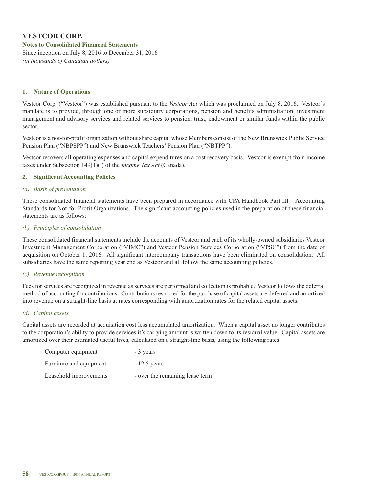**Notes to Consolidated Financial Statements**

Since inception on July 8, 2016 to December 31, 2016 *(in thousands of Canadian dollars)*

#### **1. Nature of Operations**

Vestcor Corp. ("Vestcor") was established pursuant to the *Vestcor Act* which was proclaimed on July 8, 2016. Vestcor's mandate is to provide, through one or more subsidiary corporations, pension and benefits administration, investment management and advisory services and related services to pension, trust, endowment or similar funds within the public sector.

Vestcor is a not-for-profit organization without share capital whose Members consist of the New Brunswick Public Service Pension Plan ("NBPSPP") and New Brunswick Teachers' Pension Plan ("NBTPP").

Vestcor recovers all operating expenses and capital expenditures on a cost recovery basis. Vestcor is exempt from income taxes under Subsection 149(1)(l) of the *Income Tax Act* (Canada).

#### **2. Significant Accounting Policies**

#### *(a) Basis of presentation*

These consolidated financial statements have been prepared in accordance with CPA Handbook Part III – Accounting Standards for Not-for-Profit Organizations. The significant accounting policies used in the preparation of these financial statements are as follows:

#### *(b) Principles of consolidation*

These consolidated financial statements include the accounts of Vestcor and each of its wholly-owned subsidiaries Vestcor Investment Management Corporation ("VIMC") and Vestcor Pension Services Corporation ("VPSC") from the date of acquisition on October 1, 2016. All significant intercompany transactions have been eliminated on consolidation. All subsidiaries have the same reporting year end as Vestcor and all follow the same accounting policies.

#### *(c) Revenue recognition*

Fees for services are recognized in revenue as services are performed and collection is probable. Vestcor follows the deferral method of accounting for contributions. Contributions restricted for the purchase of capital assets are deferred and amortized into revenue on a straight-line basis at rates corresponding with amortization rates for the related capital assets.

#### *(d) Capital assets*

Capital assets are recorded at acquisition cost less accumulated amortization. When a capital asset no longer contributes to the corporation's ability to provide services it's carrying amount is written down to its residual value. Capital assets are amortized over their estimated useful lives, calculated on a straight-line basis, using the following rates:

| Computer equipment      | - 3 years                       |
|-------------------------|---------------------------------|
| Furniture and equipment | $-12.5$ years                   |
| Leasehold improvements  | - over the remaining lease term |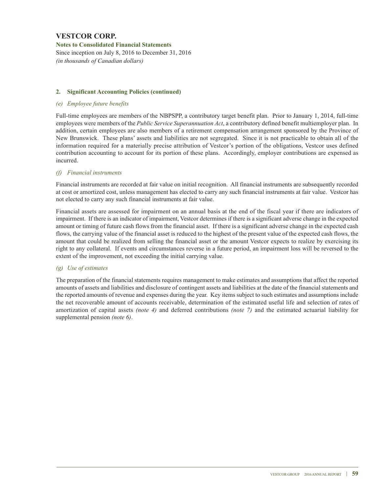**Notes to Consolidated Financial Statements** Since inception on July 8, 2016 to December 31, 2016 *(in thousands of Canadian dollars)*

#### **2. Significant Accounting Policies (continued)**

#### *(e) Employee future benefits*

Full-time employees are members of the NBPSPP, a contributory target benefit plan. Prior to January 1, 2014, full-time employees were members of the *Public Service Superannuation Act*, a contributory defined benefit multiemployer plan. In addition, certain employees are also members of a retirement compensation arrangement sponsored by the Province of New Brunswick. These plans' assets and liabilities are not segregated. Since it is not practicable to obtain all of the information required for a materially precise attribution of Vestcor's portion of the obligations, Vestcor uses defined contribution accounting to account for its portion of these plans. Accordingly, employer contributions are expensed as incurred.

#### *(f) Financial instruments*

Financial instruments are recorded at fair value on initial recognition. All financial instruments are subsequently recorded at cost or amortized cost, unless management has elected to carry any such financial instruments at fair value. Vestcor has not elected to carry any such financial instruments at fair value.

Financial assets are assessed for impairment on an annual basis at the end of the fiscal year if there are indicators of impairment. If there is an indicator of impairment, Vestcor determines if there is a significant adverse change in the expected amount or timing of future cash flows from the financial asset. If there is a significant adverse change in the expected cash flows, the carrying value of the financial asset is reduced to the highest of the present value of the expected cash flows, the amount that could be realized from selling the financial asset or the amount Vestcor expects to realize by exercising its right to any collateral. If events and circumstances reverse in a future period, an impairment loss will be reversed to the extent of the improvement, not exceeding the initial carrying value.

#### *(g) Use of estimates*

The preparation of the financial statements requires management to make estimates and assumptions that affect the reported amounts of assets and liabilities and disclosure of contingent assets and liabilities at the date of the financial statements and the reported amounts of revenue and expenses during the year. Key items subject to such estimates and assumptions include the net recoverable amount of accounts receivable, determination of the estimated useful life and selection of rates of amortization of capital assets *(note 4)* and deferred contributions *(note 7)* and the estimated actuarial liability for supplemental pension *(note 6)*.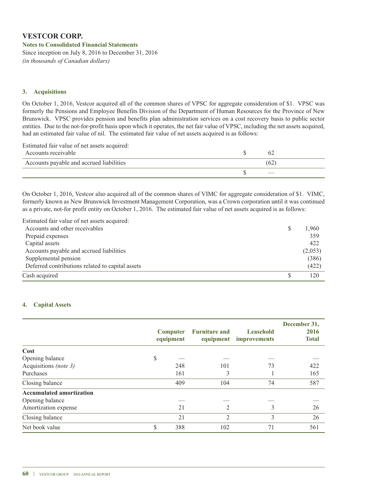**Notes to Consolidated Financial Statements**

Since inception on July 8, 2016 to December 31, 2016 *(in thousands of Canadian dollars)*

#### **3. Acquisitions**

On October 1, 2016, Vestcor acquired all of the common shares of VPSC for aggregate consideration of \$1. VPSC was formerly the Pensions and Employee Benefits Division of the Department of Human Resources for the Province of New Brunswick. VPSC provides pension and benefits plan administration services on a cost recovery basis to public sector entities. Due to the not-for-profit basis upon which it operates, the net fair value of VPSC, including the net assets acquired, had an estimated fair value of nil. The estimated fair value of net assets acquired is as follows:

Estimated fair value of net assets acquired:

| Accounts receivable                      |      |
|------------------------------------------|------|
| Accounts payable and accrued liabilities | (62) |
|                                          |      |

On October 1, 2016, Vestcor also acquired all of the common shares of VIMC for aggregate consideration of \$1. VIMC, formerly known as New Brunswick Investment Management Corporation, was a Crown corporation until it was continued as a private, not-for profit entity on October 1, 2016. The estimated fair value of net assets acquired is as follows:

Estimated fair value of net assets acquired:

| Accounts and other receivables                   | 1,960   |
|--------------------------------------------------|---------|
| Prepaid expenses                                 | 359     |
| Capital assets                                   | 422     |
| Accounts payable and accrued liabilities         | (2,053) |
| Supplemental pension                             | (386)   |
| Deferred contributions related to capital assets | (422)   |
| Cash acquired                                    | 120     |

#### **4. Capital Assets**

|                                 |    | <b>Computer</b><br>equipment | <b>Furniture and</b> | Leasehold<br>equipment improvements | December 31,<br>2016<br><b>Total</b> |
|---------------------------------|----|------------------------------|----------------------|-------------------------------------|--------------------------------------|
| Cost                            |    |                              |                      |                                     |                                      |
| Opening balance                 | S  |                              |                      |                                     |                                      |
| Acquisitions (note 3)           |    | 248                          | 101                  | 73                                  | 422                                  |
| Purchases                       |    | 161                          | 3                    |                                     | 165                                  |
| Closing balance                 |    | 409                          | 104                  | 74                                  | 587                                  |
| <b>Accumulated amortization</b> |    |                              |                      |                                     |                                      |
| Opening balance                 |    |                              |                      |                                     |                                      |
| Amortization expense            |    | 21                           | 2                    | 3                                   | 26                                   |
| Closing balance                 |    | 21                           | $\overline{2}$       | 3                                   | 26                                   |
| Net book value                  | \$ | 388                          | 102                  | 71                                  | 561                                  |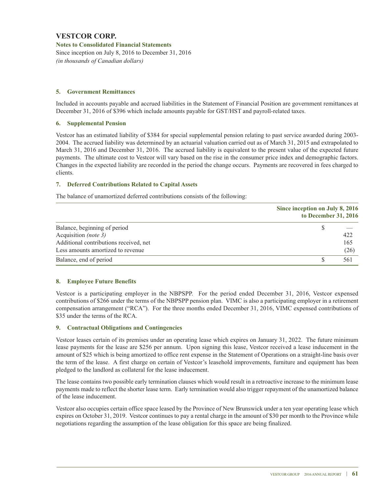**Notes to Consolidated Financial Statements** Since inception on July 8, 2016 to December 31, 2016 *(in thousands of Canadian dollars)*

#### **5. Government Remittances**

Included in accounts payable and accrued liabilities in the Statement of Financial Position are government remittances at December 31, 2016 of \$396 which include amounts payable for GST/HST and payroll-related taxes.

#### **6. Supplemental Pension**

Vestcor has an estimated liability of \$384 for special supplemental pension relating to past service awarded during 2003- 2004. The accrued liability was determined by an actuarial valuation carried out as of March 31, 2015 and extrapolated to March 31, 2016 and December 31, 2016. The accrued liability is equivalent to the present value of the expected future payments. The ultimate cost to Vestcor will vary based on the rise in the consumer price index and demographic factors. Changes in the expected liability are recorded in the period the change occurs. Payments are recovered in fees charged to clients.

#### **7. Deferred Contributions Related to Capital Assets**

The balance of unamortized deferred contributions consists of the following:

|                                        | Since inception on July 8, 2016<br>to December 31, 2016 |  |  |  |
|----------------------------------------|---------------------------------------------------------|--|--|--|
| Balance, beginning of period           | S                                                       |  |  |  |
| Acquisition (note 3)                   | 422                                                     |  |  |  |
| Additional contributions received, net | 165                                                     |  |  |  |
| Less amounts amortized to revenue      | (26)                                                    |  |  |  |
| Balance, end of period                 | 561                                                     |  |  |  |

#### **8. Employee Future Benefits**

Vestcor is a participating employer in the NBPSPP. For the period ended December 31, 2016, Vestcor expensed contributions of \$266 under the terms of the NBPSPP pension plan. VIMC is also a participating employer in a retirement compensation arrangement ("RCA"). For the three months ended December 31, 2016, VIMC expensed contributions of \$35 under the terms of the RCA.

#### **9. Contractual Obligations and Contingencies**

Vestcor leases certain of its premises under an operating lease which expires on January 31, 2022. The future minimum lease payments for the lease are \$256 per annum. Upon signing this lease, Vestcor received a lease inducement in the amount of \$25 which is being amortized to office rent expense in the Statement of Operations on a straight-line basis over the term of the lease. A first charge on certain of Vestcor's leasehold improvements, furniture and equipment has been pledged to the landlord as collateral for the lease inducement.

The lease contains two possible early termination clauses which would result in a retroactive increase to the minimum lease payments made to reflect the shorter lease term. Early termination would also trigger repayment of the unamortized balance of the lease inducement.

Vestcor also occupies certain office space leased by the Province of New Brunswick under a ten year operating lease which expires on October 31, 2019. Vestcor continues to pay a rental charge in the amount of \$30 per month to the Province while negotiations regarding the assumption of the lease obligation for this space are being finalized.